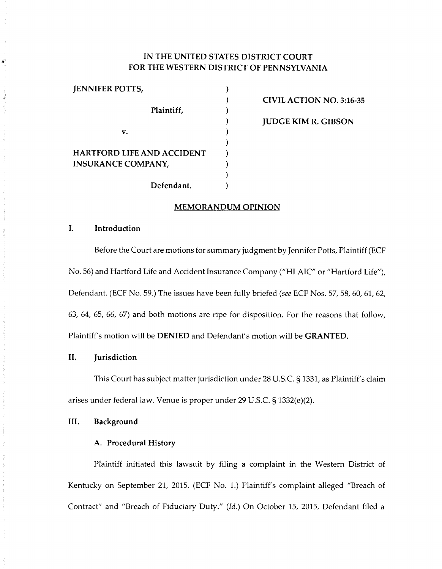# **IN THE UNITED STATES DISTRICT COURT FOR THE WESTERN DISTRICT OF PENNSYLVANIA**

)  $\lambda$ ) ) ) ) ) ) ) )

| <b>JENNIFER POTTS,</b>                                         |            |
|----------------------------------------------------------------|------------|
|                                                                | Plaintiff, |
| v.                                                             |            |
| <b>HARTFORD LIFE AND ACCIDENT</b><br><b>INSURANCE COMPANY,</b> |            |
|                                                                | Defendant. |

**CIVIL ACTION NO. 3:16-35 JUDGE KIM R. GIBSON** 

#### **MEMORANDUM OPINION**

# **I. Introduction**

Before the Court are motions for summary judgment by Jennifer Potts, Plaintiff (ECF No. 56) and Hartford Life and Accident Insurance Company ("HLAIC" or "Hartford Life"), Defendant. (ECF No. 59.) The issues have been fully briefed *(see* ECF Nos. 57, 58, 60, 61, 62, 63, 64, 65, 66, 67) and both motions are ripe for disposition. For the reasons that follow, Plaintiff's motion will be **DENIED** and Defendant's motion will be **GRANTED.** 

# **II. Jurisdiction**

This Court has subject matter jurisdiction under 28U.S.C.§1331, as Plaintiff's claim arises under federal law. Venue is proper under 29 U.S.C. § 1332(e)(2).

## **III. Background**

# **A. Procedural History**

Plaintiff initiated this lawsuit by filing a complaint in the Western District of Kentucky on September 21, 2015. (ECF No. 1.) Plaintiff's complaint alleged "Breach of Contract" and "Breach of Fiduciary Duty." *(Id.)* On October 15, 2015, Defendant filed a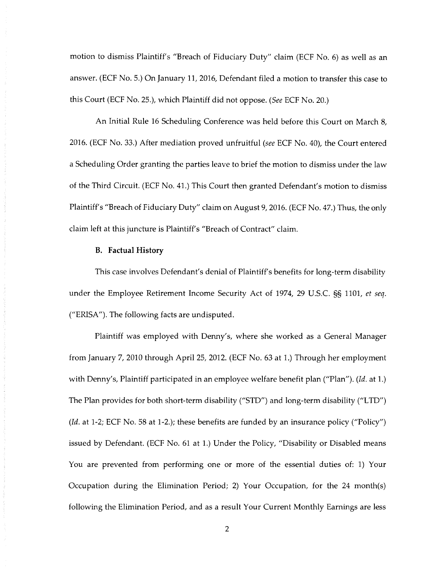motion to dismiss Plaintiff's "Breach of Fiduciary Duty" claim (ECF No. 6) as well as an answer. (ECF No. 5.) On January 11, 2016, Defendant filed a motion to transfer this case to this Court (ECF No. 25.), which Plaintiff did not oppose. *(See* ECF No. 20.)

An Initial Rule 16 Scheduling Conference was held before this Court on March 8, 2016. (ECF No. 33.) After mediation proved unfruitful *(see* ECF No. 40), the Court entered a Scheduling Order granting the parties leave to brief the motion to dismiss under the law of the Third Circuit. (ECF No. 41.) This Court then granted Defendant's motion to dismiss Plaintiff's "Breach of Fiduciary Duty" claim on August 9, 2016. (ECF No. 47.) Thus, the only claim left at this juncture is Plaintiff's "Breach of Contract" claim.

### **B. Factual History**

This case involves Defendant's denial of Plaintiff's benefits for long-term disability under the Employee Retirement Income Security Act of 1974, 29 U.S.C. §§ 1101, *et seq.*  ("ERISA"). The following facts are undisputed.

Plaintiff was employed with Denny's, where she worked as a General Manager from January 7, 2010 through April 25, 2012. (ECF No. 63 at 1.) Through her employment with Denny's, Plaintiff participated in an employee welfare benefit plan ("Plan"). *(Id.* at 1.) The Plan provides for both short-term disability ("STD") and long-term disability ("LTD") *(Id.* at 1-2; ECF No. 58 at 1-2.); these benefits are funded by an insurance policy ("Policy") issued by Defendant. (ECF No. 61 at 1.) Under the Policy, "Disability or Disabled means You are prevented from performing one or more of the essential duties of: 1) Your Occupation during the Elimination Period; 2) Your Occupation, for the 24 month(s) following the Elimination Period, and as a result Your Current Monthly Earnings are less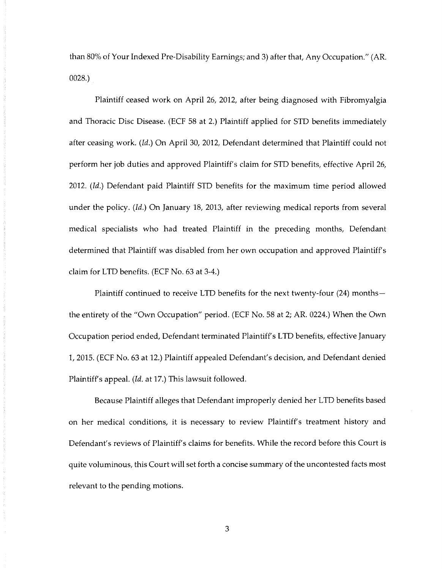than 80% of Your Indexed Pre-Disability Earnings; and 3) after that, Any Occupation." (AR. 0028.)

Plaintiff ceased work on April 26, 2012, after being diagnosed with Fibromyalgia and Thoracic Disc Disease. (ECF 58 at 2.) Plaintiff applied for STD benefits immediately after ceasing work. *(Id.)* On April 30, 2012, Defendant determined that Plaintiff could not perform her job duties and approved Plaintiff's claim for STD benefits, effective April 26, 2012. *(Id.)* Defendant paid Plaintiff STD benefits for the maximum time period allowed under the policy. *(Id.)* On January 18, 2013, after reviewing medical reports from several medical specialists who had treated Plaintiff in the preceding months, Defendant determined that Plaintiff was disabled from her own occupation and approved Plaintiff's claim for LTD benefits. (ECF No. 63 at 3-4.)

Plaintiff continued to receive LTD benefits for the next twenty-four (24) monthsthe entirety of the "Own Occupation" period. (ECF No. 58 at 2; AR. 0224.) When the Own Occupation period ended, Defendant terminated Plaintiff's LTD benefits, effective January 1, 2015. (ECF No. 63 at 12.) Plaintiff appealed Defendant's decision, and Defendant denied Plaintiff's appeal. *(Id.* at 17.) This lawsuit followed.

Because Plaintiff alleges that Defendant improperly denied her LTD benefits based on her medical conditions, it is necessary to review Plaintiff's treatment history and Defendant's reviews of Plaintiff's claims for benefits. While the record before this Court is quite voluminous, this Court will set forth a concise summary of the uncontested facts most relevant to the pending motions.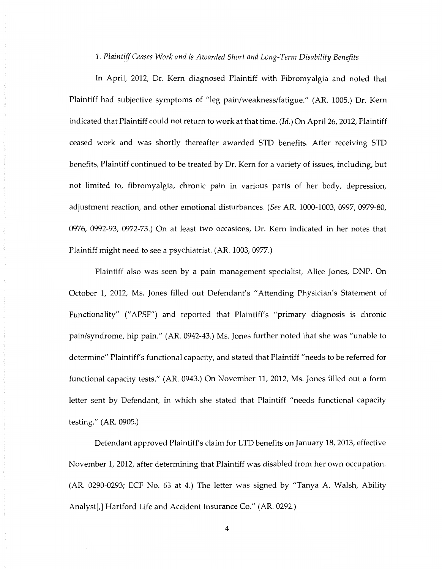*1. Plaintiff Ceases Work and is Awarded Short and Long-Term Disability Benefits* 

In April, 2012, Dr. Kem diagnosed Plaintiff with Fibromyalgia and noted that Plaintiff had subjective symptoms of "leg pain/weakness/fatigue." (AR. 1005.) Dr. Kem indicated that Plaintiff could not return to work at that time. *(Id.)* On April 26, 2012, Plaintiff ceased work and was shortly thereafter awarded STD benefits. After receiving STD benefits, Plaintiff continued to be treated by Dr. Kem for a variety of issues, including, but not limited to, fibromyalgia, chronic pain in various parts of her body, depression, adjustment reaction, and other emotional disturbances. *(See* AR. 1000-1003, 0997, 0979-80, 0976, 0992-93, 0972-73.) On at least two occasions, Dr. Kem indicated in her notes that Plaintiff might need to see a psychiatrist. (AR. 1003, 0977.)

Plaintiff also was seen by a pain management specialist, Alice Jones, DNP. On October 1, 2012, Ms. Jones filled out Defendant's "Attending Physician's Statement of Functionality" (" APSF") and reported that Plaintiff's "primary diagnosis is chronic pain/syndrome, hip pain." (AR. 0942-43.) Ms. Jones further noted that she was "unable to determine" Plaintiff's functional capacity, and stated that Plaintiff "needs to be referred for functional capacity tests." (AR. 0943.) On November 11, 2012, Ms. Jones filled out a form letter sent by Defendant, in which she stated that Plaintiff "needs functional capacity testing." (AR. 0905.)

Defendant approved Plaintiff's claim for LTD benefits on January 18, 2013, effective November 1, 2012, after determining that Plaintiff was disabled from her own occupation. (AR. 0290-0293; ECF No. 63 at 4.) The letter was signed by "Tanya A. Walsh, Ability Analyst[,] Hartford Life and Accident Insurance Co." (AR. 0292.)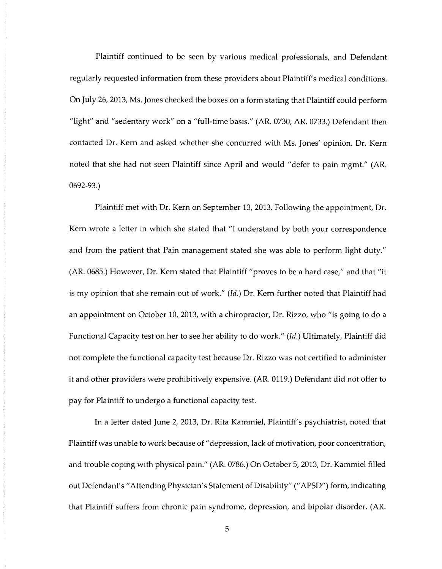Plaintiff continued to be seen by various medical professionals, and Defendant regularly requested information from these providers about Plaintiff's medical conditions. On July 26, 2013, Ms. Jones checked the boxes on a form stating that Plaintiff could perform "light" and "sedentary work" on a "full-time basis." (AR. 0730; AR. 0733.) Defendant then contacted Dr. Kem and asked whether she concurred with Ms. Jones' opinion. Dr. Kem noted that she had not seen Plaintiff since April and would "defer to pain mgmt." (AR. 0692-93.)

Plaintiff met with Dr. Kem on September 13, 2013. Following the appointment, Dr. Kem wrote a letter in which she stated that "I understand by both your correspondence and from the patient that Pain management stated she was able to perform light duty." (AR. 0685.) However, Dr. Kem stated that Plaintiff "proves to be a hard case," and that "it is my opinion that she remain out of work." *(Id.)* Dr. Kem further noted that Plaintiff had an appointment on October 10, 2013, with a chiropractor, Dr. Rizzo, who "is going to do a Functional Capacity test on her to see her ability to do work." *(Id.)* Ultimately, Plaintiff did not complete the functional capacity test because Dr. Rizzo was not certified to administer it and other providers were prohibitively expensive. (AR. 0119.) Defendant did not offer to pay for Plaintiff to undergo a functional capacity test.

In a letter dated June 2, 2013, Dr. Rita Kammiel, Plaintiff's psychiatrist, noted that Plaintiff was unable to work because of" depression, lack of motivation, poor concentration, and trouble coping with physical pain." (AR. 0786.) On October 5, 2013, Dr. Kammiel filled out Defendant's" Attending Physician's Statement of Disability"(" APSD") form, indicating that Plaintiff suffers from chronic pain syndrome, depression, and bipolar disorder. (AR.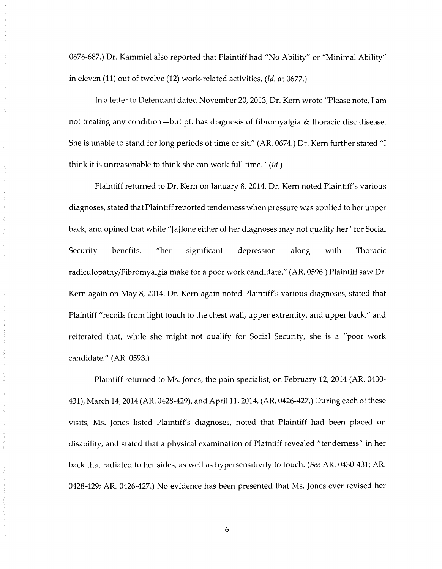0676-687.) Dr. Kammiel also reported that Plaintiff had "No Ability" or "Minimal Ability" in eleven (11) out of twelve (12) work-related activities. *(Id.* at 0677.)

In a letter to Defendant dated November 20, 2013, Dr. Kem wrote "Please note, I am not treating any condition-but pt. has diagnosis of fibromyalgia & thoracic disc disease. She is unable to stand for long periods of time or sit." (AR. 0674.) Dr. Kem further stated "I think it is unreasonable to think she can work full time." *(Id.)* 

Plaintiff returned to Dr. Kem on January 8, 2014. Dr. Kem noted Plaintiff's various diagnoses, stated that Plaintiff reported tenderness when pressure was applied to her upper back, and opined that while "[a]lone either of her diagnoses may not qualify her" for Social Security benefits, "her significant depression along with Thoracic radiculopathy/Fibromyalgia make for a poor work candidate." (AR. 0596.) Plaintiff saw Dr. Kem again on May 8, 2014. Dr. Kem again noted Plaintiff's various diagnoses, stated that Plaintiff "recoils from light touch to the chest wall, upper extremity, and upper back," and reiterated that, while she might not qualify for Social Security, she is a "poor work candidate." (AR. 0593.)

Plaintiff returned to Ms. Jones, the pain specialist, on February 12, 2014 (AR. 0430- 431), March 14, 2014 (AR. 0428-429), and April 11, 2014. (AR. 0426-427.) During each of these visits, Ms. Jones listed Plaintiff's diagnoses, noted that Plaintiff had been placed on disability, and stated that a physical examination of Plaintiff revealed "tenderness" in her back that radiated to her sides, as well as hypersensitivity to touch. *(See* AR. 0430-431; AR. 0428-429; AR. 0426-427.) No evidence has been presented that Ms. Jones ever revised her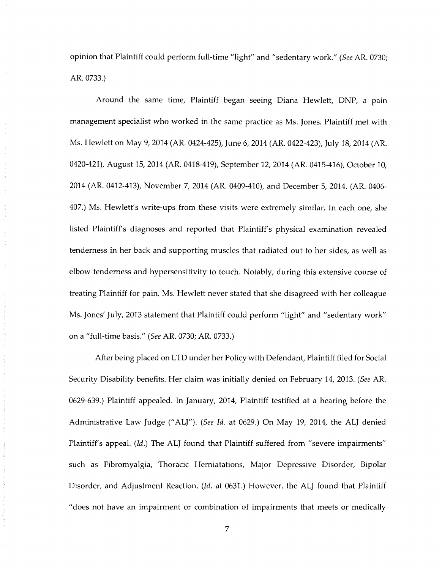opinion that Plaintiff could perform full-time "light" and "sedentary work." *(See* AR. 0730; AR. 0733.)

Around the same time, Plaintiff began seeing Diana Hewlett, DNP, a pain management specialist who worked in the same practice as Ms. Jones. Plaintiff met with Ms. Hewlett on May 9, 2014 (AR. 0424-425), June 6, 2014 (AR. 0422-423), July 18, 2014 (AR. 0420-421), August 15, 2014 (AR. 0418-419), September 12, 2014 (AR. 0415-416), October 10, 2014 (AR. 0412-413), November 7, 2014 (AR. 0409-410), and December 5, 2014. (AR. 0406- 407.) Ms. Hewlett's write-ups from these visits were extremely similar. In each one, she listed Plaintiff's diagnoses and reported that Plaintiff's physical examination revealed tenderness in her back and supporting muscles that radiated out to her sides, as well as elbow tenderness and hypersensitivity to touch. Notably, during this extensive course of treating Plaintiff for pain, Ms. Hewlett never stated that she disagreed with her colleague Ms. Jones' July, 2013 statement that Plaintiff could perform "light" and "sedentary work" on a "full-time basis." *(See* AR. 0730; AR. 0733.)

After being placed on LTD under her Policy with Defendant, Plaintiff filed for Social Security Disability benefits. Her claim was initially denied on February 14, 2013. *(See* AR. 0629-639.) Plaintiff appealed. In January, 2014, Plaintiff testified at a hearing before the Administrative Law Judge ("ALJ"). *(See Id.* at 0629.) On May 19, 2014, the ALJ denied Plaintiff's appeal. *(Id.)* The ALJ found that Plaintiff suffered from "severe impairments" such as Fibromyalgia, Thoracic Herniatations, Major Depressive Disorder, Bipolar Disorder, and Adjustment Reaction. *(Id.* at 0631.) However, the ALJ found that Plaintiff "does not have an impairment or combination of impairments that meets or medically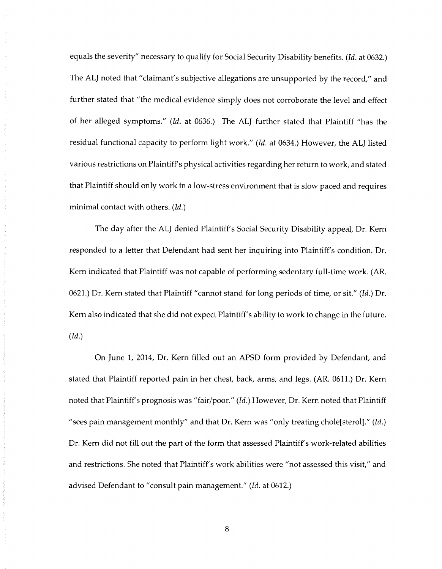equals the severity" necessary to qualify for Social Security Disability benefits. *(Id.* at 0632.) The ALJ noted that "claimant's subjective allegations are unsupported by the record," and further stated that "the medical evidence simply does not corroborate the level and effect of her alleged symptoms." *(Id.* at 0636.) The ALJ further stated that Plaintiff "has the residual functional capacity to perform light work." *(Id.* at 0634.) However, the ALJ listed various restrictions on Plaintiff's physical activities regarding her return to work, and stated that Plaintiff should only work in a low-stress environment that is slow paced and requires minimal contact with others. *(Id.)* 

The day after the ALJ denied Plaintiff's Social Security Disability appeal, Dr. Kem responded to a letter that Defendant had sent her inquiring into Plaintiff's condition. Dr. Kem indicated that Plaintiff was not capable of performing sedentary full-time work. (AR. 0621.) Dr. Kem stated that Plaintiff "cannot stand for long periods of time, or sit." *(Id.)* Dr. Kem also indicated that she did not expect Plaintiff's ability to work to change in the future. *(Id.)* 

On June 1, 2014, Dr. Kem filled out an APSD form provided by Defendant, and stated that Plaintiff reported pain in her chest, back, arms, and legs. (AR. 0611.) Dr. Kem noted that Plaintiff's prognosis was "fair/poor." *(Id.)* However, Dr. Kem noted that Plaintiff "sees pain management monthly" and that Dr. Kem was "only treating chole[sterol]." *(Id.)*  Dr. Kem did not fill out the part of the form that assessed Plaintiff's work-related abilities and restrictions. She noted that Plaintiff's work abilities were "not assessed this visit," and advised Defendant to "consult pain management." *(Id.* at 0612.)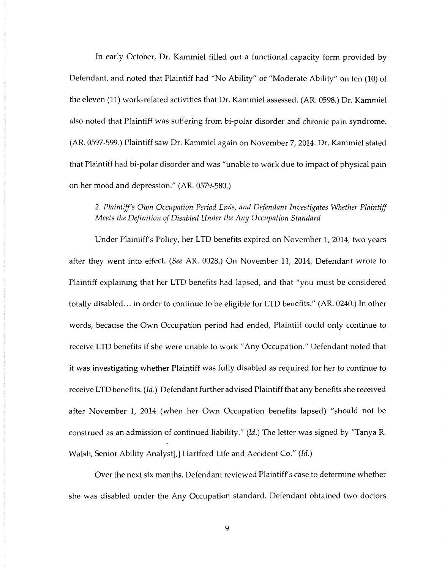In early October, Dr. Kammiel filled out a functional capacity form provided by Defendant, and noted that Plaintiff had "No Ability" or "Moderate Ability" on ten (10) of the eleven (11) work-related activities that Dr. Kammiel assessed. (AR. 0598.) Dr. Kammiel also noted that Plaintiff was suffering from bi-polar disorder and chronic pain syndrome. (AR. 0597-599.) Plaintiff saw Dr. Kammiel again on November 7, 2014. Dr. Kammiel stated that Plaintiff had bi-polar disorder and was "unable to work due to impact of physical pain on her mood and depression." (AR. 0579-580.)

# 2. *Plaintiff's Own Occupation Period Ends, and Defendant Investigates Whether Plaintiff Meets the Definition of Disabled Under the Any Occupation Standard*

Under Plaintiff's Policy, her LTD benefits expired on November 1, 2014, two years after they went into effect. *(See* AR. 0028.) On November 11, 2014, Defendant wrote to Plaintiff explaining that her LTD benefits had lapsed, and that "you must be considered totally disabled ... in order to continue to be eligible for LTD benefits." (AR. 0240.) In other words, because the Own Occupation period had ended, Plaintiff could only continue to receive LTD benefits if she were unable to work "Any Occupation." Defendant noted that it was investigating whether Plaintiff was fully disabled as required for her to continue to receive LTD benefits. *(Id.)* Defendant further advised Plaintiff that any benefits she received after November 1, 2014 (when her Own Occupation benefits lapsed) "should not be construed as an admission of continued liability." *(Id.)* The letter was signed by "Tanya R. Walsh, Senior Ability Analyst[,] Hartford Life and Accident Co." *(Id.)* 

Over the next six months, Defendant reviewed Plaintiff's case to determine whether she was disabled under the Any Occupation standard. Defendant obtained two doctors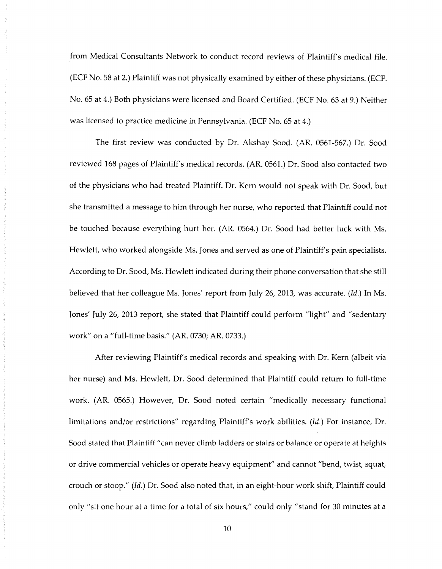from Medical Consultants Network to conduct record reviews of Plaintiff's medical file. (ECF No. 58 at 2.) Plaintiff was not physically examined by either of these physicians. (ECF. No. 65 at 4.) Both physicians were licensed and Board Certified. (ECF No. 63 at 9.) Neither was licensed to practice medicine in Pennsylvania. (ECF No. 65 at 4.)

The first review was conducted by Dr. Akshay Sood. (AR. 0561-567.) Dr. Sood reviewed 168 pages of Plaintiff's medical records. (AR. 0561.) Dr. Sood also contacted two of the physicians who had treated Plaintiff. Dr. Kem would not speak with Dr. Sood, but she transmitted a message to him through her nurse, who reported that Plaintiff could not be touched because everything hurt her. (AR. 0564.) Dr. Sood had better luck with Ms. Hewlett, who worked alongside Ms. Jones and served as one of Plaintiff's pain specialists. According to Dr. Sood, Ms. Hewlett indicated during their phone conversation that she still believed that her colleague Ms. Jones' report from July 26, 2013, was accurate. *(Id.)* In Ms. Jones' July 26, 2013 report, she stated that Plaintiff could perform "light" and "sedentary work" on a "full-time basis." (AR. 0730; AR. 0733.)

After reviewing Plaintiff's medical records and speaking with Dr. Kem (albeit via her nurse) and Ms. Hewlett, Dr. Sood determined that Plaintiff could return to full-time work. (AR. 0565.) However, Dr. Sood noted certain "medically necessary functional limitations and/or restrictions" regarding Plaintiff's work abilities. *(Id.)* For instance, Dr. Sood stated that Plaintiff "can never climb ladders or stairs or balance or operate at heights or drive commercial vehicles or operate heavy equipment" and cannot "bend, twist, squat, crouch or stoop." *(Id.)* Dr. Sood also noted that, in an eight-hour work shift, Plaintiff could only "sit one hour at a time for a total of six hours," could only "stand for 30 minutes at a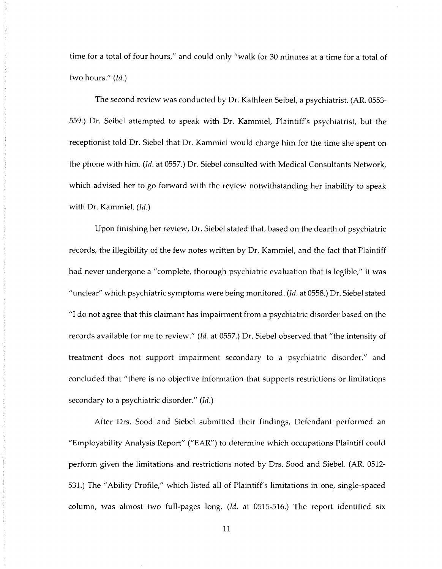time for a total of four hours," and could only "walk for 30 minutes at a time for a total of two hours." *(Id.)* 

The second review was conducted by Dr. Kathleen Seibel, a psychiatrist. (AR. 0553- 559.) Dr. Seibel attempted to speak with Dr. Kammiel, Plaintiff's psychiatrist, but the receptionist told Dr. Siebel that Dr. Kammiel would charge him for the time she spent on the phone with him. *(Id.* at 0557.) Dr. Siebel consulted with Medical Consultants Network, which advised her to go forward with the review notwithstanding her inability to speak with Dr. Kammiel. *(Id.)* 

Upon finishing her review, Dr. Siebel stated that, based on the dearth of psychiatric records, the illegibility of the few notes written by Dr. Kammiel, and the fact that Plaintiff had never undergone a "complete, thorough psychiatric evaluation that is legible," it was "unclear" which psychiatric symptoms were being monitored. *(Id.* at 0558.) Dr. Siebel stated "I do not agree that this claimant has impairment from a psychiatric disorder based on the records available for me to review." *(Id.* at 0557.) Dr. Siebel observed that "the intensity of treatment does not support impairment secondary to a psychiatric disorder," and concluded that "there is no objective information that supports restrictions or limitations secondary to a psychiatric disorder." *(Id.)* 

After Drs. Sood and Siebel submitted their findings, Defendant performed an "Employability Analysis Report" ("EAR") to determine which occupations Plaintiff could perform given the limitations and restrictions noted by Drs. Sood and Siebel. (AR. 0512- 531.) The "Ability Profile," which listed all of Plaintiff's limitations in one, single-spaced column, was almost two full-pages long. *(Id.* at 0515-516.) The report identified six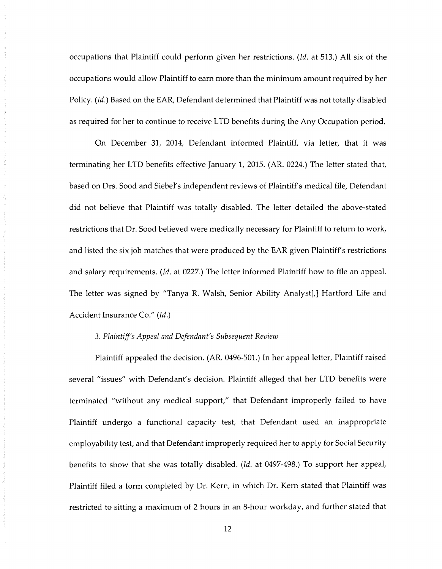occupations that Plaintiff could perform given her restrictions. *(Id.* at 513.) All six of the occupations would allow Plaintiff to earn more than the minimum amount required by her Policy. *(Id.)* Based on the EAR, Defendant determined that Plaintiff was not totally disabled as required for her to continue to receive LTD benefits during the Any Occupation period.

On December 31, 2014, Defendant informed Plaintiff, via letter, that it was terminating her LTD benefits effective January 1, 2015. (AR. 0224.) The letter stated that, based on Drs. Sood and Siebel's independent reviews of Plaintiff's medical file, Defendant did not believe that Plaintiff was totally disabled. The letter detailed the above-stated restrictions that Dr. Sood believed were medically necessary for Plaintiff to return to work, and listed the six job matches that were produced by the EAR given Plaintiff's restrictions and salary requirements. *(Id.* at 0227.) The letter informed Plaintiff how to file an appeal. The letter was signed by "Tanya R. Walsh, Senior Ability Analyst[,] Hartford Life and Accident Insurance Co." *(Id.)* 

## 3. *Plaintiff's Appeal and Defendant's Subsequent Review*

Plaintiff appealed the decision. (AR. 0496-501.) In her appeal letter, Plaintiff raised several "issues" with Defendant's decision. Plaintiff alleged that her LTD benefits were terminated "without any medical support," that Defendant improperly failed to have Plaintiff undergo a functional capacity test, that Defendant used an inappropriate employability test, and that Defendant improperly required her to apply for Social Security benefits to show that she was totally disabled. *(Id.* at 0497-498.) To support her appeal, Plaintiff filed a form completed by Dr. Kem, in which Dr. Kem stated that Plaintiff was restricted to sitting a maximum of 2 hours in an 8-hour workday, and further stated that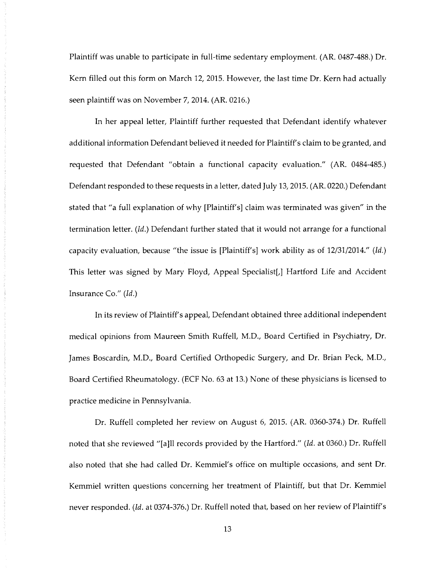Plaintiff was unable to participate in full-time sedentary employment. (AR. 0487-488.) Dr. Kem filled out this form on March 12, 2015. However, the last time Dr. Kern had actually seen plaintiff was on November 7, 2014. (AR. 0216.)

In her appeal letter, Plaintiff further requested that Defendant identify whatever additional information Defendant believed it needed for Plaintiff's claim to be granted, and requested that Defendant "obtain a functional capacity evaluation." (AR. 0484-485.) Defendant responded to these requests in a letter, dated July 13, 2015. (AR. 0220.) Defendant stated that "a full explanation of why [Plaintiff's] claim was terminated was given" in the termination letter. *(Id.)* Defendant further stated that it would not arrange for a functional capacity evaluation, because "the issue is [Plaintiff's] work ability as of 12/31/2014." *(Id.)*  This letter was signed by Mary Floyd, Appeal Specialist[,] Hartford Life and Accident Insurance Co." *(Id.)* 

In its review of Plaintiff's appeal, Defendant obtained three additional independent medical opinions from Maureen Smith Ruffell, M.D., Board Certified in Psychiatry, Dr. James Boscardin, M.D., Board Certified Orthopedic Surgery, and Dr. Brian Peck, M.D., Board Certified Rheumatology. (ECF No. 63 at 13.) None of these physicians is licensed to practice medicine in Pennsylvania.

Dr. Ruffell completed her review on August 6, 2015. (AR. 0360-374.) Dr. Ruffell noted that she reviewed "[a]ll records provided by the Hartford." *(Id.* at 0360.) Dr. Ruffell also noted that she had called Dr. Kemmiel's office on multiple occasions, and sent Dr. Kemmiel written questions concerning her treatment of Plaintiff, but that Dr. Kemmiel never responded. *(Id.* at 0374-376.) Dr. Ruffell noted that, based on her review of Plaintiff's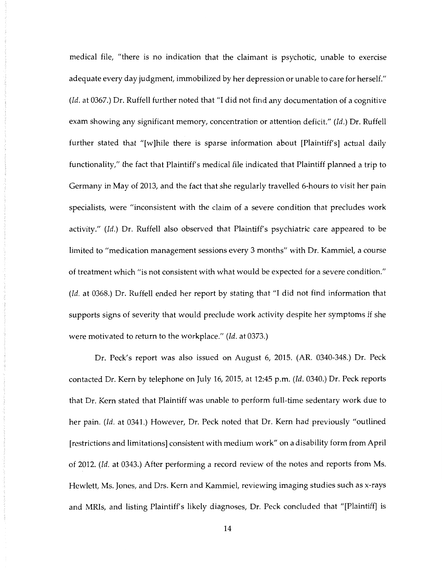medical file, "there is no indication that the claimant is psychotic, unable to exercise adequate every day judgment, immobilized by her depression or unable to care for herself." *(Id.* at 0367.) Dr. Ruffell further noted that "I did not find any documentation of a cognitive exam showing any significant memory, concentration or attention deficit." *(Id.)* Dr. Ruffell further stated that "[w]hile there is sparse information about [Plaintiff's] actual daily functionality," the fact that Plaintiff's medical file indicated that Plaintiff planned a trip to Germany in May of 2013, and the fact that she regularly travelled 6-hours to visit her pain specialists, were "inconsistent with the claim of a severe condition that precludes work activity." *(Id.)* Dr. Ruffell also observed that Plaintiff's psychiatric care appeared to be limited to "medication management sessions every 3 months" with Dr. Kammiel, a course of treatment which "is not consistent with what would be expected for a severe condition." *(Id.* at 0368.) Dr. Ruffell ended her report by stating that "I did not find information that supports signs of severity that would preclude work activity despite her symptoms if she were motivated to return to the workplace." *(Id.* at 0373.)

Dr. Peck's report was also issued on August 6, 2015. (AR. 0340-348.) Dr. Peck contacted Dr. Kem by telephone on July 16, 2015, at 12:45 p.m. *(Id.* 0340.) Dr. Peck reports that Dr. Kem stated that Plaintiff was unable to perform full-time sedentary work due to her pain. *(Id.* at 0341.) However, Dr. Peck noted that Dr. Kem had previously "outlined [restrictions and limitations] consistent with medium work" on a disability form from April of 2012. *(Id.* at 0343.) After performing a record review of the notes and reports from Ms. Hewlett, Ms. Jones, and Drs. Kem and Kammiel, reviewing imaging studies such as x-rays and MRis, and listing Plaintiff's likely diagnoses, Dr. Peck concluded that "[Plaintiff] is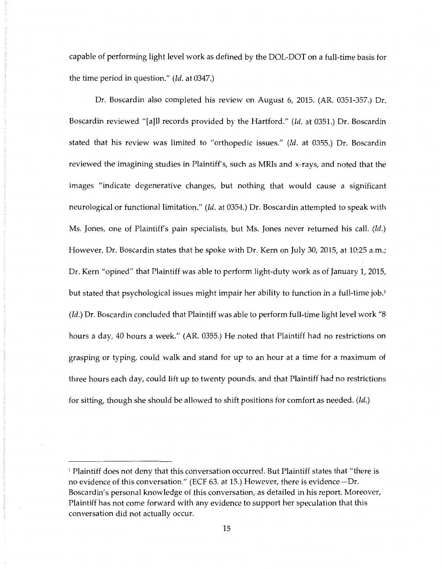capable of performing light level work as defined by the DOL-DOT on a full-time basis for the time period in question." *(Id.* at 0347.)

Dr. Boscardin also completed his review on August 6, 2015. (AR. 0351-357.) Dr. Boscardin reviewed "[a]ll records provided by the Hartford." *(Id.* at 0351.) Dr. Boscardin stated that his review was limited to "orthopedic issues." *(Id.* at 0355.) Dr. Boscardin reviewed the imagining studies in Plaintiff's, such as MRis and x-rays, and noted that the images "indicate degenerative changes, but nothing that would cause a significant neurological or functional limitation." *(Id.* at 0354.) Dr. Boscardin attempted to speak with Ms. Jones, one of Plaintiff's pain specialists, but Ms. Jones never returned his call. *(Id.)*  However, Dr. Boscardin states that he spoke with Dr. Kem on July 30, 2015, at 10:25 a.m.; Dr. Kem "opined" that Plaintiff was able to perform light-duty work as of January 1, 2015, but stated that psychological issues might impair her ability to function in a full-time job.<sup>1</sup> *(Id.)* Dr. Boscardin concluded that Plaintiff was able to perform full-time light level work "8 hours a day, 40 hours a week." (AR. 0355.) He noted that Plaintiff had no restrictions on grasping or typing, could walk and stand for up to an hour at a time for a maximum of three hours each day, could lift up to twenty pounds, and that Plaintiff had no restrictions for sitting, though she should be allowed to shift positions for comfort as needed. *(Id.)* 

<sup>1</sup> Plaintiff does not deny that this conversation occurred. But Plaintiff states that "there is no evidence of this conversation." (ECF 63. at 15.) However, there is evidence-Dr. Boscardin's personal knowledge of this conversation, as detailed in his report. Moreover, Plaintiff has not come forward with any evidence to support her speculation that this conversation did not actually occur.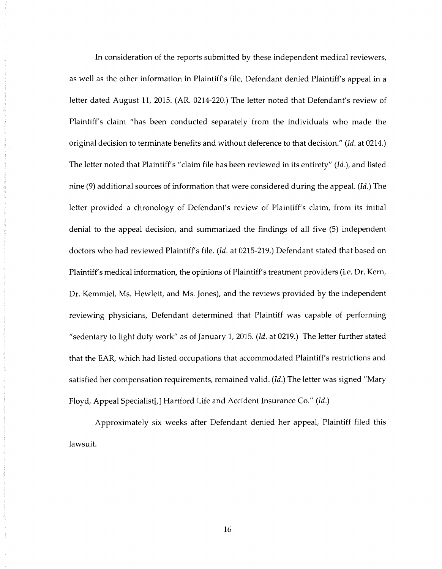In consideration of the reports submitted by these independent medical reviewers, as well as the other information in Plaintiff's file, Defendant denied Plaintiff's appeal in a letter dated August 11, 2015. (AR. 0214-220.) The letter noted that Defendant's review of Plaintiff's claim "has been conducted separately from the individuals who made the original decision to terminate benefits and without deference to that decision." *(Id.* at 0214.) The letter noted that Plaintiff's "claim file has been reviewed in its entirety" *(Id.),* and listed nine (9) additional sources of information that were considered during the appeal. *(Id.)* The letter provided a chronology of Defendant's review of Plaintiff's claim, from its initial denial to the appeal decision, and summarized the findings of all five (5) independent doctors who had reviewed Plaintiff's file. *(Id.* at 0215-219.) Defendant stated that based on Plaintiff's medical information, the opinions of Plaintiff's treatment providers (i.e. Dr. Kem, Dr. Kemmiel, Ms. Hewlett, and Ms. Jones), and the reviews provided by the independent reviewing physicians, Defendant determined that Plaintiff was capable of performing "sedentary to light duty work" as of January 1, 2015. *(Id.* at 0219.) The letter further stated that the EAR, which had listed occupations that accommodated Plaintiff's restrictions and satisfied her compensation requirements, remained valid. *(Id.)* The letter was signed "Mary Floyd, Appeal Specialist[,] Hartford Life and Accident Insurance Co." *(Id.)* 

Approximately six weeks after Defendant denied her appeal, Plaintiff filed this lawsuit.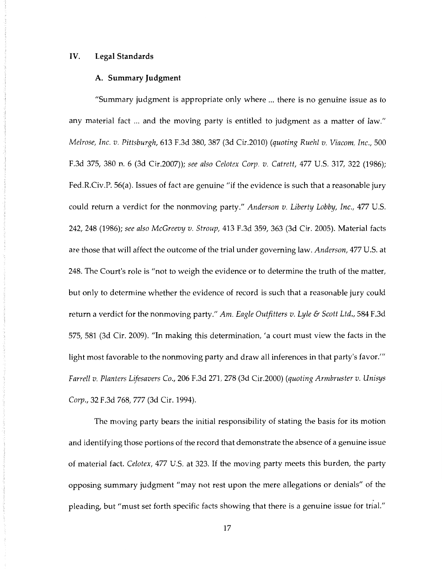## IV. **Legal Standards**

## **A. Summary Judgment**

"Summary judgment is appropriate only where ... there is no genuine issue as to any material fact ... and the moving party is entitled to judgment as a matter of law." *Melrose, Inc. v. Pittsburgh,* 613 F.3d 380, 387 (3d Cir.2010) *(quoting Ruehl v. Viacom, Inc.,* 500 F.3d 375, 380 n. 6 (3d Cir.2007)); *see also Celotex Corp. v. Catrett,* 477 U.S. 317, 322 (1986); Fed.R.Civ.P. 56(a). Issues of fact are genuine "if the evidence is such that a reasonable jury could return a verdict for the nonmoving party." *Anderson v. Liberty Lobby, Inc.,* 477 U.S. 242, 248 (1986); *see also McGreevy v. Stroup,* 413 F.3d 359, 363 (3d Cir. 2005). Material facts are those that will affect the outcome of the trial under governing law. *Anderson,* 477 U.S. at 248. The Court's role is "not to weigh the evidence or to determine the truth of the matter, but only to determine whether the evidence of record is such that a reasonable jury could return a verdict for the nonmoving party." *Am. Eagle Outfitters v. Lyle* & *Scott Ltd.,* 584 F.3d 575, 581 (3d Cir. 2009). "In making this determination, 'a court must view the facts in the light most favorable to the nonmoving party and draw all inferences in that party's favor."" *Farrell v. Planters Lifesavers* Co., 206 F.3d 271, 278 (3d Cir.2000) *(quoting Armbruster v. Unisys Corp.,* 32 F.3d 768, 777 (3d Cir. 1994).

The moving party bears the initial responsibility of stating the basis for its motion and identifying those portions of the record that demonstrate the absence of a genuine issue of material fact. *Celotex,* 477 U.S. at 323. If the moving party meets this burden, the party opposing summary judgment "may not rest upon the mere allegations or denials" of the pleading, but "must set forth specific facts showing that there is a genuine issue for trial."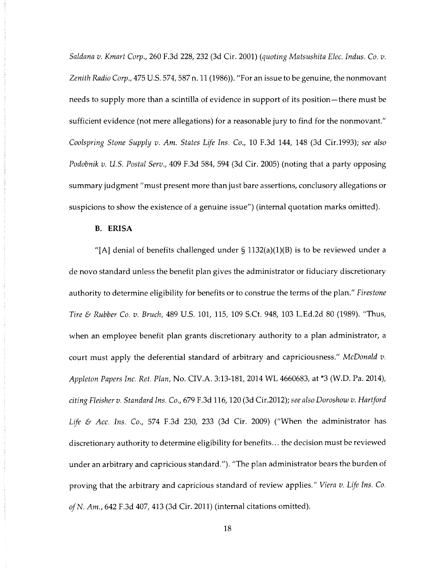*Saldana v. Kmart Corp.,* 260 F.3d 228, 232 (3d Cir. 2001) *(quoting Matsushita Elec. Indus.* Co. *v. Zenith Radio Corp.,* 475 U.S. 57 4, 587 n. 11 (1986)). "For an issue to be genuine, the nonmovant needs to supply more than a scintilla of evidence in support of its position-there must be sufficient evidence (not mere allegations) for a reasonable jury to find for the nonmovant." *Coolspring Stone Supply v. Am. States Life Ins.* Co., 10 F.3d 144, 148 (3d Cir.1993); *see also Podobnik v. U.S. Postal Serv.,* 409 F.3d 584, 594 (3d Cir. 2005) (noting that a party opposing summary judgment "must present more than just bare assertions, conclusory allegations or suspicions to show the existence of a genuine issue") (internal quotation marks omitted).

### **B. ERISA**

"[A] denial of benefits challenged under  $\S$  1132(a)(1)(B) is to be reviewed under a de novo standard unless the benefit plan gives the administrator or fiduciary discretionary authority to determine eligibility for benefits or to construe the terms of the plan." *Firestone Tire* & *Rubber* Co. *v. Bruch,* 489 U.S. 101, 115, 109 S.Ct. 948, 103 L.Ed.2d 80 (1989). "Thus, when an employee benefit plan grants discretionary authority to a plan administrator, a court must apply the deferential standard of arbitrary and capriciousness." *McDonald v. Appleton Papers Inc. Ret. Plan,* No. CIV.A. 3:13-181, 2014 WL 4660683, at \*3 (W.D. Pa. 2014), *citing Fleisher v. Standard Ins.* Co., 679 F.3d 116, 120 (3d Cir.2012); *see also Doroshow v. Hartford Life* & *Acc. Ins.* Co., 574 F.3d 230, 233 (3d Cir. 2009) ("When the administrator has discretionary authority to determine eligibility for benefits ... the decision must be reviewed under an arbitrary and capricious standard."). "The plan administrator bears the burden of proving that the arbitrary and capricious standard of review applies." *Viera v. Life Ins.* Co. *of N. Am.,* 642 F.3d 407, 413 (3d Cir. 2011) (internal citations omitted).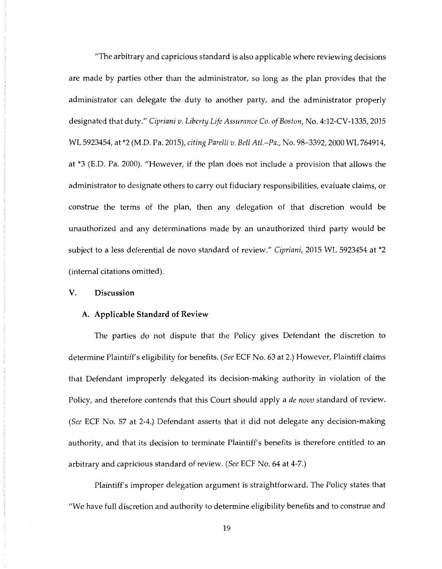"The arbitrary and capricious standard is also applicable where reviewing decisions are made by parties other than the administrator, so long as the plan provides that the administrator can delegate the duty to another party, and the administrator properly designated that duty." *Cipriani v. Liberty Life Assurance* Co. *of Boston,* No. 4:12-CV-1335, 2015 WL 5923454, at \*2 (M.D. Pa. 2015), *citing Parelli v. Bell Atl.-Pa.,* No. 98-3392, 2000 WL 764914, at \*3 (E.D. Pa. 2000). "However, if the plan does not include a provision that allows the administrator to designate others to carry out fiduciary responsibilities, evaluate claims, or construe the terms of the plan, then any delegation of that discretion would be unauthorized and any determinations made by an unauthorized third party would be subject to a less deferential de novo standard of review." *Cipriani,* 2015 WL 5923454 at \*2 (internal citations omitted).

# **V. Discussion**

### **A. Applicable Standard of Review**

The parties do not dispute that the Policy gives Defendant the discretion to determine Plaintiff's eligibility for benefits. *(See* ECF No. 63 at 2.) However, Plaintiff claims that Defendant improperly delegated its decision-making authority in violation of the Policy, and therefore contends that this Court should apply a *de nova* standard of review. *(See* ECF No. 57 at 2-4.) Defendant asserts that it did not delegate any decision-making authority, and that its decision to terminate Plaintiff's benefits is therefore entitled to an arbitrary and capricious standard of review. *(See* ECF No. 64 at 4-7.)

Plaintiff's improper delegation argument is straightforward. The Policy states that "We have full discretion and authority to determine eligibility benefits and to construe and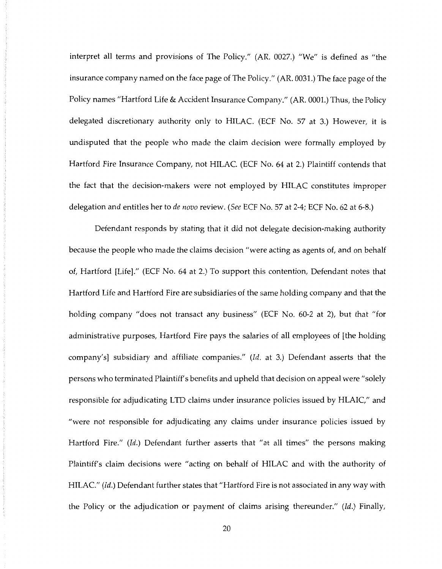interpret all terms and provisions of The Policy." (AR. 0027.) "We" is defined as "the insurance company named on the face page of The Policy." (AR. 0031.) The face page of the Policy names "Hartford Life & Accident Insurance Company." (AR. 0001.) Thus, the Policy delegated discretionary authority only to HILAC. (ECF No. 57 at 3.) However, it is undisputed that the people who made the claim decision were formally employed by Hartford Fire Insurance Company, not HILAC. (ECF No. 64 at 2.) Plaintiff contends that the fact that the decision-makers were not employed by HILAC constitutes improper delegation and entitles her to *de nova* review. *(See* ECF No. 57 at 2-4; ECF No. 62 at 6-8.)

Defendant responds by stating that it did not delegate decision-making authority because the people who made the claims decision "were acting as agents of, and on behalf of, Hartford [Life]." (ECF No. 64 at 2.) To support this contention, Defendant notes that Hartford Life and Hartford Fire are subsidiaries of the same holding company and that the holding company "does not transact any business" (ECF No. 60-2 at 2), but that "for administrative purposes, Hartford Fire pays the salaries of all employees of [the holding company's] subsidiary and affiliate companies." *(Id.* at 3.) Defendant asserts that the persons who terminated Plaintiff's benefits and upheld that decision on appeal were" solely responsible for adjudicating LTD claims under insurance policies issued by HLAIC," and "were not responsible for adjudicating any claims under insurance policies issued by Hartford Fire." *(Id.)* Defendant further asserts that "at all times" the persons making Plaintiff's claim decisions were "acting on behalf of HILAC and with the authority of HILAC." *(Id.)* Defendant further states that "Hartford Fire is not associated in any way with the Policy or the adjudication or payment of claims arising thereunder." *(Id.)* Finally,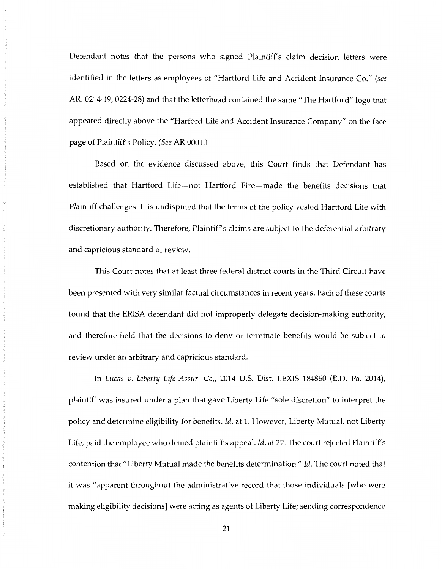Defendant notes that the persons who signed Plaintiff's claim decision letters were identified in the letters as employees of "Hartford Life and Accident Insurance Co." *(see*  AR. 0214-19, 0224-28) and that the letterhead contained the same "The Hartford" logo that appeared directly above the "Harford Life and Accident Insurance Company" on the face page of Plaintiff's Policy. *(See* AR 0001.)

Based on the evidence discussed above, this Court finds that Defendant has established that Hartford Life-not Hartford Fire-made the benefits decisions that Plaintiff challenges. It is undisputed that the terms of the policy vested Hartford Life with discretionary authority. Therefore, Plaintiff's claims are subject to the deferential arbitrary and capricious standard of review.

This Court notes that at least three federal district courts in the Third Circuit have been presented with very similar factual circumstances in recent years. Each of these courts found that the ERISA defendant did not improperly delegate decision-making authority, and therefore held that the decisions to deny or terminate benefits would be subject to review under an arbitrary and capricious standard.

In *Lucas v. Liberty Life Assur. Co.,* 2014 U.S. Dist. LEXIS 184860 (E.D. Pa. 2014), plaintiff was insured under a plan that gave Liberty Life "sole discretion" to interpret the policy and determine eligibility for benefits. *Id.* at 1. However, Liberty Mutual, not Liberty Life, paid the employee who denied plaintiff's appeal. *Id.* at 22. The court rejected Plaintiff's contention that "Liberty Mutual made the benefits determination." *Id.* The court noted that it was "apparent throughout the administrative record that those individuals [who were making eligibility decisions] were acting as agents of Liberty Life; sending correspondence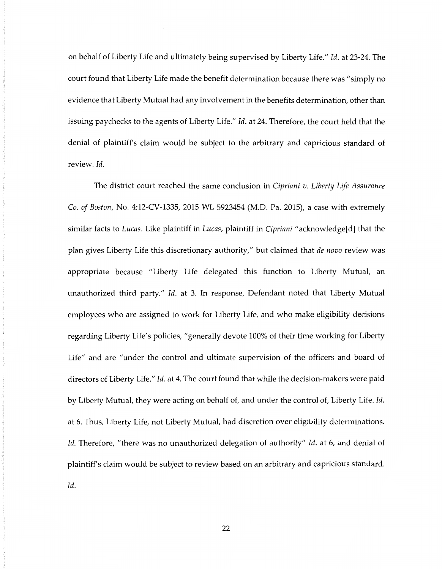on behalf of Liberty Life and ultimately being supervised by Liberty Life." *Id.* at 23-24. The court found that Liberty Life made the benefit determination because there was "simply no evidence that Liberty Mutual had any involvement in the benefits determination, other than issuing paychecks to the agents of Liberty Life." *Id.* at 24. Therefore, the court held that the. denial of plaintiff's claim would be subject to the arbitrary and capricious standard of review. *Id.* 

The district court reached the same conclusion in *Cipriani v. Liberty Life Assurance Co. of Boston,* No. 4:12-CV-1335, 2015 WL 5923454 (M.D. Pa. 2015), a case with extremely similar facts to *Lucas.* Like plaintiff in *Lucas,* plaintiff in *Cipriani* "acknowledge[ d] that the plan gives Liberty Life this discretionary authority," but claimed that *de nova* review was appropriate because "Liberty Life delegated this function to Liberty Mutual, an unauthorized third party." *Id.* at 3. In response, Defendant noted that Liberty Mutual employees who are assigned to work for Liberty Life, and who make eligibility decisions regarding Liberty Life's policies, "generally devote 100% of their time working for Liberty Life" and are "under the control and ultimate supervision of the officers and board of directors of Liberty Life." *Id.* at 4. The court found that while the decision-makers were paid by Liberty Mutual, they were acting on behalf of, and under the control of, Liberty Life. *Id.*  at 6. Thus, Liberty Life, not Liberty Mutual, had discretion over eligibility determinations. *Id.* Therefore, "there was no unauthorized delegation of authority" *Id.* at 6, and denial of plaintiff's claim would be subject to review based on an arbitrary and capricious standard. *Id.*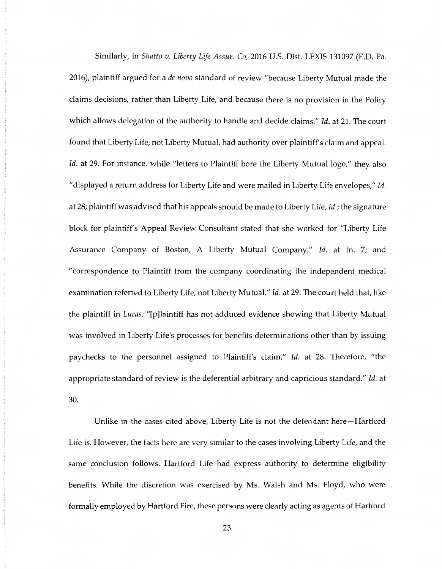Similarly, in *Shatto v. Liberty Life Assur.* Co, 2016 U.S. Dist. LEXIS 131097 (E.D. Pa. 2016), plaintiff argued for a *de nova* standard of review "because Liberty Mutual made the claims decisions, rather than Liberty Life, and because there is no provision in the Policy which allows delegation of the authority to handle and decide claims." *Id.* at 21. The court found that Liberty Life, not Liberty Mutual, had authority over plaintiff's claim and appeal. Id. at 29. For instance, while "letters to Plaintiff bore the Liberty Mutual logo," they also "displayed a return address for Liberty Life and were mailed in Liberty Life envelopes," *Id.*  at 28; plaintiff was advised that his appeals should be made to Liberty Life, *Id.;* the signature block for plaintiff's Appeal Review Consultant stated that she worked for "Liberty Life Assurance Company of Boston, A Liberty Mutual Company," *Id.* at fn. 7; and "correspondence to Plaintiff from the company coordinating the independent medical examination referred to Liberty Life, not Liberty Mutual." *Id.* at 29. The court held that, like the plaintiff in *Lucas,* "[p]laintiff has not adduced evidence showing that Liberty Mutual was involved in Liberty Life's processes for benefits determinations other than by issuing paychecks to the personnel assigned to Plaintiff's claim." *Id.* at 28. Therefore, "the appropriate standard of review is the deferential arbitrary and capricious standard." *Id.* at 30.

Unlike in the cases cited above, Liberty Life is not the defendant here-Hartford Life is. However, the facts here are very similar to the cases involving Liberty Life, and the same conclusion follows. Hartford Life had express authority to determine eligibility benefits. While the discretion was exercised by Ms. Walsh and Ms. Floyd, who were formally employed by Hartford Fire, these persons were clearly acting as agents of Hartford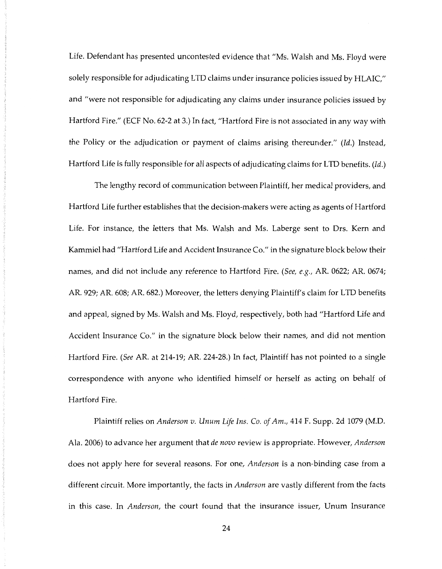Life. Defendant has presented uncontested evidence that "Ms. Walsh and Ms. Floyd were solely responsible for adjudicating LTD claims under insurance policies issued by HLAIC," and "were not responsible for adjudicating any claims under insurance policies issued by Hartford Fire." (ECF No. 62-2 at 3.) In fact, "Hartford Fire is not associated in any way with the Policy or the adjudication or payment of claims arising thereunder." *(Id.)* Instead, Hartford Life is fully responsible for all aspects of adjudicating claims for LTD benefits. *(Id.)* 

The lengthy record of communication between Plaintiff, her medical providers, and Hartford Life further establishes that the decision-makers were acting as agents of Hartford Life. For instance, the letters that Ms. Walsh and Ms. Laberge sent to Drs. Kem and Kammiel had "Hartford Life and Accident Insurance Co." in the signature block below their names, and did not include any reference to Hartford Fire. *(See, e.g.,* AR. 0622; AR. 0674; AR. 929; AR. 608; AR. 682.) Moreover, the letters denying Plaintiff's claim for LTD benefits and appeal, signed by Ms. Walsh and Ms. Floyd, respectively, both had "Hartford Life and Accident Insurance Co." in the signature block below their names, and did not mention Hartford Fire. *(See* AR. at 214-19; AR. 224-28.) In fact, Plaintiff has not pointed to a single correspondence with anyone who identified himself or herself as acting on behalf of Hartford Fire.

Plaintiff relies on *Anderson v. Unum Life Ins.* Co. *of Am.,* 414 F. Supp. 2d 1079 (M.D. Ala. 2006) to advance her argument that *de nova* review is appropriate. However, *Anderson*  does not apply here for several reasons. For one, *Anderson* is a non-binding case from a different circuit. More importantly, the facts in *Anderson* are vastly different from the facts in this case. In *Anderson,* the court found that the insurance issuer, Unum Insurance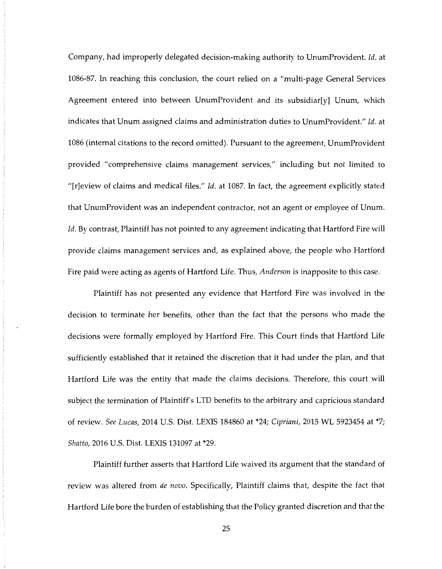Company, had improperly delegated decision-making authority to UnumProvident. *Id.* at 1086-87. In reaching this conclusion, the court relied on a "multi-page General Services Agreement entered into between UnumProvident and its subsidiar[y] Unum, which indicates that Unum assigned claims and administration duties to UnumProvident." *Id.* at 1086 (internal citations to the record omitted). Pursuant to the agreement, UnumProvident provided "comprehensive claims management services," including but not limited to "[r]eview of claims and medical files." *Id.* at 1087. In fact, the agreement explicitly stated that UnumProvident was an independent contractor, not an agent or employee of Unum. Id. By contrast, Plaintiff has not pointed to any agreement indicating that Hartford Fire will provide claims management services and, as explained above, the people who Hartford Fire paid were acting as agents of Hartford Life. Thus, *Anderson* is inapposite to this case.

Plaintiff has not presented any evidence that Hartford Fire was involved in the decision to terminate her benefits, other than the fact that the persons who made the decisions were formally employed by Hartford Fire. This Court finds that Hartford Life sufficiently established that it retained the discretion that it had under the plan, and that Hartford Life was the entity that made the claims decisions. Therefore, this court will subject the termination of Plaintiff's LTD benefits to the arbitrary and capricious standard of review. *See Lucas,* 2014 U.S. Dist. LEXIS 184860 at \*24; *Cipriani,* 2015 WL 5923454 at \*7; *Shatto,* 2016 U.S. Dist. LEXIS 131097 at \*29.

Plaintiff further asserts that Hartford Life waived its argument that the standard of review was altered from *de nova.* Specifically, Plaintiff claims that, despite the fact that Hartford Life bore the burden of establishing that the Policy granted discretion and that the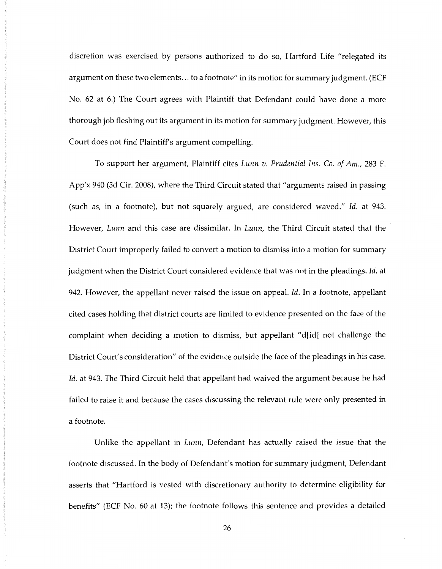discretion was exercised by persons authorized to do so, Hartford Life "relegated its argument on these two elements... to a footnote" in its motion for summary judgment. (ECF No. 62 at 6.) The Court agrees with Plaintiff that Defendant could have done a more thorough job fleshing out its argument in its motion for summary judgment. However, this Court does not find Plaintiff's argument compelling.

To support her argument, Plaintiff cites *Lunn v. Prudential Ins.* Co. *of Am.,* 283 F. App'x 940 (3d Cir. 2008), where the Third Circuit stated that "arguments raised in passing (such as, in a footnote), but not squarely argued, are considered waved." *Id.* at 943. However, *Lunn* and this case are dissimilar. In *Lunn,* the Third Circuit stated that the District Court improperly failed to convert a motion to dismiss into a motion for summary judgment when the District Court considered evidence that was not in the pleadings. *Id.* at 942. However, the appellant never raised the issue on appeal. *Id.* In a footnote, appellant cited cases holding that district courts are limited to evidence presented on the face of the complaint when deciding a motion to dismiss, but appellant "d[id] not challenge the District Court's consideration" of the evidence outside the face of the pleadings in his case. Id. at 943. The Third Circuit held that appellant had waived the argument because he had failed to raise it and because the cases discussing the relevant rule were only presented in a footnote.

Unlike the appellant in *Lunn,* Defendant has actually raised the issue that the footnote discussed. In the body of Defendant's motion for summary judgment, Defendant asserts that "Hartford is vested with discretionary authority to determine eligibility for benefits" (ECF No. 60 at 13); the footnote follows this sentence and provides a detailed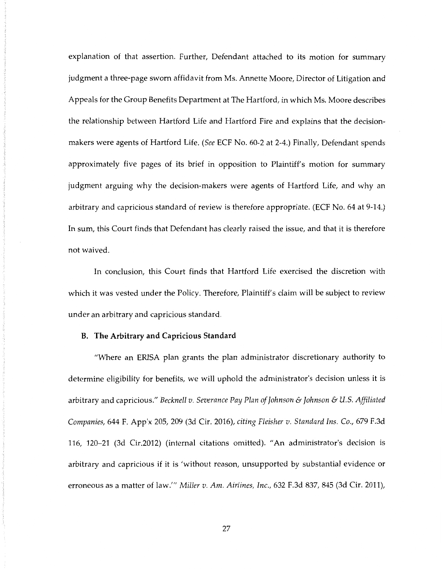explanation of that assertion. Further, Defendant attached to its motion for summary judgment a three-page sworn affidavit from Ms. Annette Moore, Director of Litigation and Appeals for the Group Benefits Department at The Hartford, in which Ms. Moore describes the relationship between Hartford Life and Hartford Fire and explains that the decisionmakers were agents of Hartford Life. *(See* ECF No. 60-2 at 2-4.) Finally, Defendant spends approximately five pages of its brief in opposition to Plaintiff's motion for summary judgment arguing why the decision-makers were agents of Hartford Life, and why an arbitrary and capricious standard of review is therefore appropriate. (ECF No. 64 at 9-14.) In sum, this Court finds that Defendant has clearly raised the issue, and that it is therefore not waived.

In conclusion, this Court finds that Hartford Life exercised the discretion with which it was vested under the Policy. Therefore, Plaintiff's claim will be subject to review under an arbitrary and capricious standard.

## **B. The Arbitrary and Capricious Standard**

"Where an ERISA plan grants the plan administrator discretionary authority to determine eligibility for benefits, we will uphold the administrator's decision unless it is arbitrary and capricious." *Becknell v. Severance Pay Plan of Johnson* & *Johnson* & *U.S. Affiliated Companies,* 644 F. App'x 205, 209 (3d Cir. 2016), *citing Fleisher v. Standard Ins. Co.,* 679 F.3d 116, 120-21 (3d Cir.2012) (internal citations omitted). "An administrator's decision is arbitrary and capricious if it is 'without reason, unsupported by substantial evidence or erroneous as a matter of law.'" *Miller v. Am. Airlines, Inc.,* 632 F.3d 837, 845 (3d Cir. 2011),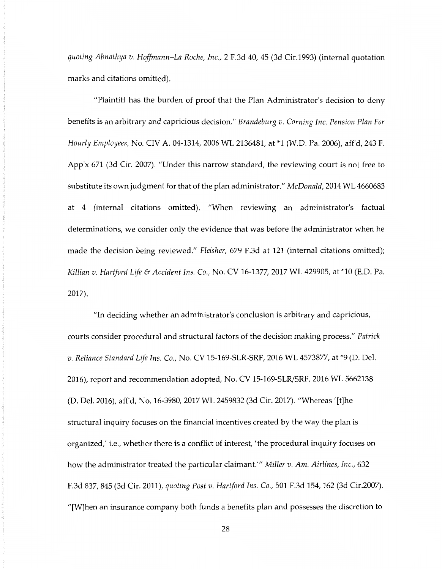*quoting Abnathya v. Hoffmann-La Roche, Inc.,* 2 F.3d 40, 45 (3d Cir.1993) (internal quotation marks and citations omitted).

"Plaintiff has the burden of proof that the Plan Administrator's decision to deny benefits is an arbitrary and capricious decision." *Brandeburg v. Corning Inc. Pension Plan For Hourly Employees,* No. CIV A. 04-1314, 2006 WL 2136481, at \*1 (W.D. Pa. 2006), aff'd, 243 F. App'x 671 (3d Cir. 2007). "Under this narrow standard, the reviewing court is not free to substitute its own judgment for that of the plan administrator." *McDonald,* 2014 WL 4660683 at 4 (internal citations omitted). "When reviewing an administrator's factual determinations, we consider only the evidence that was before the administrator when he made the decision being reviewed." *Fleisher,* 679 F.3d at 121 (internal citations omitted); *Killian v. Hartford Life* & *Accident Ins. Co.,* No. CV 16-1377, 2017 WL 429905, at \*10 (E.D. Pa. 2017).

"In deciding whether an administrator's conclusion is arbitrary and capricious, courts consider procedural and structural factors of the decision making process." *Patrick v. Reliance Standard Life Ins. Co.,* No. CV 15-169-SLR-SRF, 2016 WL 4573877, at \*9 (D. Del. 2016), report and recommendation adopted, No. CV 15-169-SLR/SRF, 2016 WL 5662138 (D. Del. 2016), aff'd, No. 16-3980, 2017 WL 2459832 (3d Cir. 2017). "Whereas '[t]he structural inquiry focuses on the financial incentives created by the way the plan is organized,' i.e., whether there is a conflict of interest, 'the procedural inquiry focuses on how the administrator treated the particular claimant."' *Miller v. Am. Airlines, Inc.,* 632 F.3d 837, 845 (3d Cir. 2011), *quoting Post v. Hartford Ins. Co.,* 501 F.3d 154, 162 (3d Cir.2007). "[W]hen an insurance company both funds a benefits plan and possesses the discretion to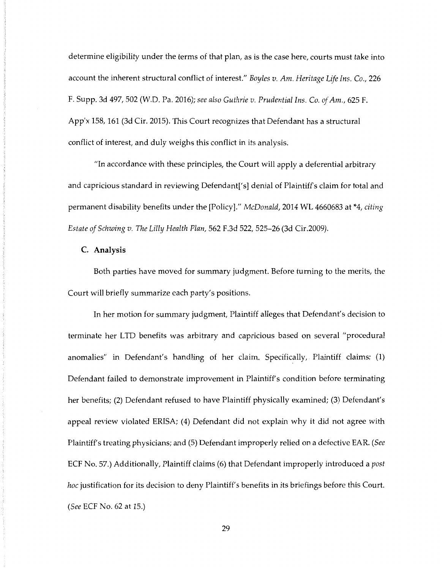determine eligibility under the terms of that plan, as is the case here, courts must take into account the inherent structural conflict of interest." *Boyles v. Am. Heritage Life Ins. Co.,* 226 F. Supp. 3d 497, 502 (W.D. Pa. 2016); *see also Guthrie v. Prudential Ins. Co. of Am.,* 625 F. App'x 158, 161 (3d Cir. 2015). This Court recognizes that Defendant has a structural conflict of interest, and duly weighs this conflict in its analysis.

"In accordance with these principles, the Court will apply a deferential arbitrary and capricious standard in reviewing Defendant['s] denial of Plaintiff's claim for total and permanent disability benefits under the [Policy]." *McDonald,* 2014 WL 4660683 at \*4, *citing Estate of Schwing v. The Lilly Health Plan,* 562 F.3d 522, 525-26 (3d Cir.2009).

### **C. Analysis**

Both parties have moved for summary judgment. Before turning to the merits, the Court will briefly summarize each party's positions.

In her motion for summary judgment, Plaintiff alleges that Defendant's decision to terminate her LTD benefits was arbitrary and capricious based on several "procedural anomalies" in Defendant's handling of her claim. Specifically, Plaintiff claims: (1) Defendant failed to demonstrate improvement in Plaintiff's condition before terminating her benefits; (2) Defendant refused to have Plaintiff physically examined; (3) Defendant's appeal review violated ERISA; (4) Defendant did not explain why it did not agree with Plaintiff's treating physicians; and (5) Defendant improperly relied on a defective EAR. *(See*  ECF No. 57.) Additionally, Plaintiff claims (6) that Defendant improperly introduced a *post hoc* justification for its decision to deny Plaintiff's benefits in its briefings before this Court. *(See* ECF No. 62 at 15.)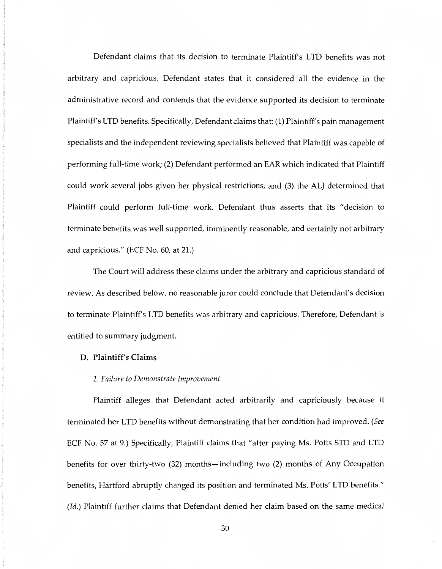Defendant claims that its decision to terminate Plaintiff's LTD benefits was not arbitrary and capricious. Defendant states that it considered all the evidence in the administrative record and contends that the evidence supported its decision to terminate Plaintiff's LTD benefits. Specifically, Defendant claims that: (1) Plaintiff's pain management specialists and the independent reviewing specialists believed that Plaintiff was capable of performing full-time work; (2) Defendant performed an EAR which indicated that Plaintiff could work several jobs given her physical restrictions; and (3) the ALJ determined that Plaintiff could perform full-time work. Defendant thus asserts that its "decision to terminate benefits was well supported, imminently reasonable, and certainly not arbitrary and capricious." (ECF No. 60, at 21.)

The Court will address these claims under the arbitrary and capricious standard of review. As described below, no reasonable juror could conclude that Defendant's decision to terminate Plaintiff's LTD benefits was arbitrary and capricious. Therefore, Defendant is entitled to summary judgment.

### **D. Plaintiff's Claims**

#### *1. Failure to Demonstrate Improvement*

Plaintiff alleges that Defendant acted arbitrarily and capriciously because it terminated her LTD benefits without demonstrating that her condition had improved. *(See*  ECF No. 57 at 9.) Specifically, Plaintiff claims that "after paying Ms. Potts STD and LTD benefits for over thirty-two (32) months-including two (2) months of Any Occupation benefits, Hartford abruptly changed its position and terminated Ms. Potts' LTD benefits." *(Id.)* Plaintiff further claims that Defendant denied her claim based on the same medical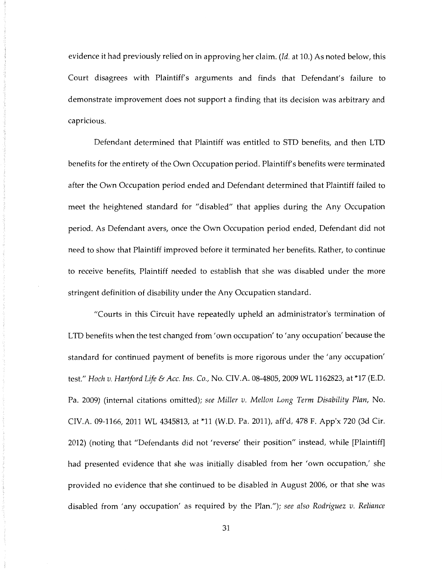evidence it had previously relied on in approving her claim. *(Id.* at 10.) As noted below, this Court disagrees with Plaintiff's arguments and finds that Defendant's failure to demonstrate improvement does not support a finding that its decision was arbitrary and capricious.

Defendant determined that Plaintiff was entitled to STD benefits, and then LTD benefits for the entirety of the Own Occupation period. Plaintiff's benefits were terminated after the Own Occupation period ended and Defendant determined that Plaintiff failed to meet the heightened standard for "disabled" that applies during the Any Occupation period. As Defendant avers, once the Own Occupation period ended, Defendant did not need to show that Plaintiff improved before it terminated her benefits. Rather, to continue to receive benefits, Plaintiff needed to establish that she was disabled under the more stringent definition of disability under the Any Occupation standard.

"Courts in this Circuit have repeatedly upheld an administrator's termination of LTD benefits when the test changed from' own occupation' to' any occupation' because the standard for continued payment of benefits is more rigorous under the 'any occupation' test." *Hoch v. Hartford Life* & *Acc. Ins. Co.,* No. CIV.A. 08-4805, 2009 WL 1162823, at \*17 (E.D. Pa. 2009) (internal citations omitted); *see Miller v. Mellon Long Term Disability Plan,* No. CIV.A. 09-1166, 2011 WL 4345813, at \*11 (W.D. Pa. 2011), aff'd, 478 F. App'x 720 (3d Cir. 2012) (noting that "Defendants did not 'reverse' their position" instead, while [Plaintiff] had presented evidence that she was initially disabled from her 'own occupation,' she provided no evidence that she continued to be disabled in August 2006, or that she was disabled from 'any occupation' as required by the Plan."); *see also Rodriguez v. Reliance*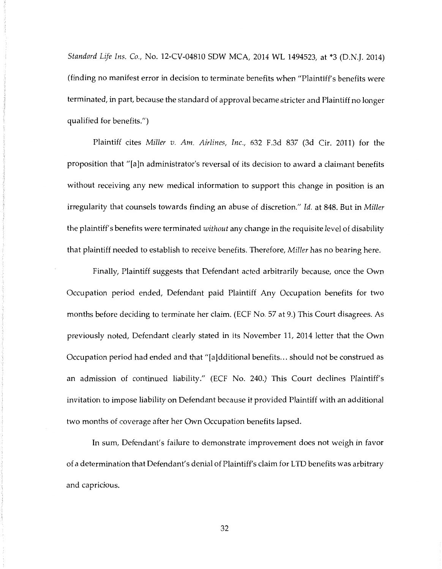*Standard Life Ins.* Co., No. 12-CV-04810 SOW MCA, 2014 WL 1494523, at \*3 (D.N.J. 2014) (finding no manifest error in decision to terminate benefits when "Plaintiff's benefits were terminated, in part, because the standard of approval became stricter and Plaintiff no longer qualified for benefits.")

Plaintiff cites *Miller v. Am. Airlines, Inc.,* 632 F.3d 837 (3d Cir. 2011) for the proposition that "[a]n administrator's reversal of its decision to award a claimant benefits without receiving any new medical information to support this change in position is an irregularity that counsels towards finding an abuse of discretion." *Id.* at 848. But in *Miller*  the plaintiff's benefits were terminated *without* any change in the requisite level of disability that plaintiff needed to establish to receive benefits. Therefore, *Miller* has no bearing here.

Finally, Plaintiff suggests that Defendant acted arbitrarily because, once the Own Occupation period ended, Defendant paid Plaintiff Any Occupation benefits for two months before deciding to terminate her claim. (ECF No. 57 at 9.) This Court disagrees. As previously noted, Defendant clearly stated in its November 11, 2014 letter that the Own Occupation period had ended and that "[a]dditional benefits ... should not be construed as an admission of continued liability." (ECF No. 240.) This Court declines Plaintiff's invitation to impose liability on Defendant because it provided Plaintiff with an additional two months of coverage after her Own Occupation benefits lapsed.

In sum, Defendant's failure to demonstrate improvement does not weigh in favor of a determination that Defendant's denial of Plaintiff's claim for LTD benefits was arbitrary and capricious.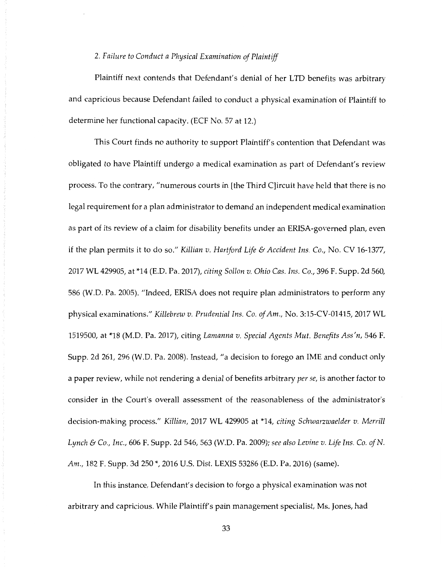### 2. *Failure to Conduct a Physical Examination of Plaintiff*

Plaintiff next contends that Defendant's denial of her LTD benefits was arbitrary and capricious because Defendant failed to conduct a physical examination of Plaintiff to determine her functional capacity. (ECF No. 57 at 12.)

This Court finds no authority to support Plaintiff's contention that Defendant was obligated to have Plaintiff undergo a medical examination as part of Defendant's review process. To the contrary, "numerous courts in [the Third C]ircuit have held that there is no legal requirement for a plan administrator to demand an independent medical examination as part of its review of a claim for disability benefits under an ERISA-govemed plan, even if the plan permits it to do so." *Killian v. Hartford Life* & *Accident Ins.* Co., No. CV 16-1377, 2017 WL 429905, at \*14 (E.D. Pa. 2017), *citing Sollon v. Ohio Cas. Ins.* Co., 396 F. Supp. 2d 560, 586 (W.D. Pa. 2005). "Indeed, ERISA does not require plan administrators to perform any physical examinations." *Killebrew v. Prudential Ins.* Co. *of Am.,* No. 3:15-CV-01415, 2017 WL 1519500, at \*18 (M.D. Pa. 2017), citing *Lamanna v. Special Agents Mut. Benefits Ass'n,* 546 F. Supp. 2d 261, 296 (W.D. Pa. 2008). Instead, "a decision to forego an IME and conduct only a paper review, while not rendering a denial of benefits arbitrary *per se,* is another factor to consider in the Court's overall assessment of the reasonableness of the administrator's decision-making process." *Killian,* 2017 WL 429905 at \*14, *citing Schwarzwaelder v. Merrill Lynch* & Co., *Inc.,* 606 F. Supp. 2d 546, 563 (W.D. Pa. 2009); *see also Levine v. Life Ins.* Co. *of N. Am.,* 182 F. Supp. 3d 250 \*, 2016 U.S. Dist. LEXIS 53286 (E.D. Pa. 2016) (same).

In this instance, Defendant's decision to forgo a physical examination was not arbitrary and capricious. While Plaintiff's pain management specialist, Ms. Jones, had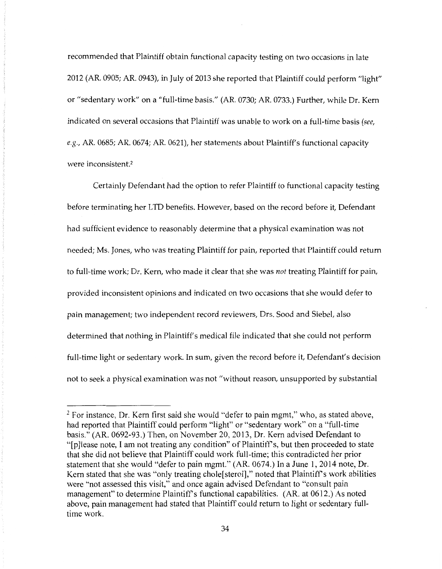recommended that Plaintiff obtain functional capacity testing on two occasions in late 2012 (AR. 0905; AR. 0943), in July of 2013 she reported that Plaintiff could perform "light" or "sedentary work" on a "full-time basis." (AR. 0730; AR. 0733.) Further, while Dr. Kem indicated on several occasions that Plaintiff was unable to work on a full-time basis *(see, e.g.,* AR. 0685; AR. 0674; AR. 0621), her statements about Plaintiff's functional capacity were inconsistent.2

Certainly Defendant had the option to refer Plaintiff to functional capacity testing before terminating her LTD benefits. However, based on the record before it, Defendant had sufficient evidence to reasonably determine that a physical examination was not needed; Ms. Jones, who was treating Plaintiff for pain, reported that Plaintiff could return to full-time work; Dr. Kem, who made it clear that she was not treating Plaintiff for pain, provided inconsistent opinions and indicated on two occasions that she would defer to pain management; two independent record reviewers, Ors. Sood and Siebel, also determined that nothing in Plaintiff's medical file indicated that she could not perform full-time light or sedentary work. In sum, given the record before it, Defendant's decision not to seek a physical examination was not "without reason, unsupported by substantial

 $2$  For instance, Dr. Kern first said she would "defer to pain mgmt," who, as stated above, had reported that Plaintiff could perform "light" or "sedentary work" on a "full-time basis." (AR. 0692-93.) Then, on November 20, 2013, Dr. Kem advised Defendant to "[p]lease note, I am not treating any condition" of Plaintiff's, but then proceeded to state that she did not believe that Plaintiff could work full-time; this contradicted her prior statement that she would "defer to pain mgmt." (AR. 0674.) In a June 1, 2014 note, Dr. Kern stated that she was "only treating chole[sterol]," noted that Plaintiff's work abilities were "not assessed this visit," and once again advised Defendant to "consult pain management" to determine Plaintiff's functional capabilities. (AR. at 0612.) As noted above, pain management had stated that Plaintiff could return to light or sedentary fulltime work.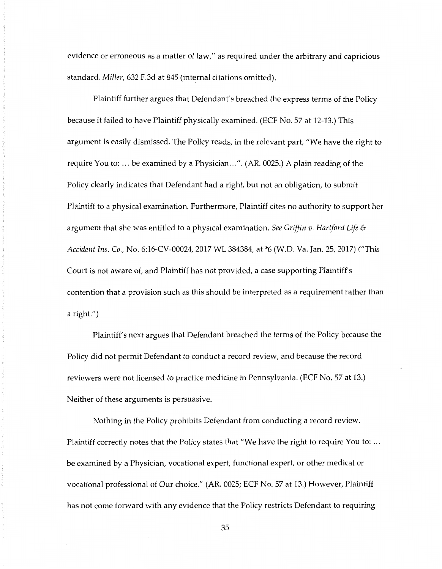evidence or erroneous as a matter of law," as required under the arbitrary and capricious standard. *Miller,* 632 F.3d at 845 (internal citations omitted).

Plaintiff further argues that Defendant's breached the express terms of the Policy because it failed to have Plaintiff physically examined. (ECF No. 57 at 12-13.) This argument is easily dismissed. The Policy reads, in the relevant part, "We have the right to require You to: ... be examined by a Physician ... ". (AR. 0025.) A plain reading of the Policy clearly indicates that Defendant had a right, but not an obligation, to submit Plaintiff to a physical examination. Furthermore, Plaintiff cites no authority to support her argument that she was entitled to a physical examination. *See Griffin v. Hartford Life* & *Accident Ins.* Co., No. 6:16-CV-00024, 2017 WL 384384, at \*6 (W.D. Va. Jan. 25, 2017) ("This Court is not aware of, and Plaintiff has not provided, a case supporting Plaintiff's contention that a provision such as this should be interpreted as a requirement rather than a right.")

Plaintiff's next argues that Defendant breached the terms of the Policy because the Policy did not permit Defendant to conduct a record review, and because the record reviewers were not licensed to practice medicine in Pennsylvania. (ECF No. 57 at 13.) Neither of these arguments is persuasive.

Nothing in the Policy prohibits Defendant from conducting a record review. Plaintiff correctly notes that the Policy states that "We have the right to require You to: ... be examined by a Physician, vocational expert, functional expert, or other medical or vocational professional of Our choice." (AR. 0025; ECF No. 57 at 13.) However, Plaintiff has not come forward with any evidence that the Policy restricts Defendant to requiring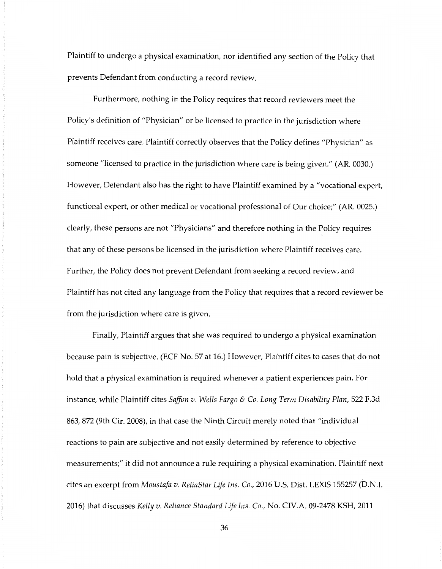Plaintiff to undergo a physical examination, nor identified any section of the Policy that prevents Defendant from conducting a record review.

Furthermore, nothing in the Policy requires that record reviewers meet the Policy's definition of "Physician" or be licensed to practice in the jurisdiction where Plaintiff receives care. Plaintiff correctly observes that the Policy defines "Physician" as someone "licensed to practice in the jurisdiction where care is being given." (AR. 0030.) However, Defendant also has the right to have Plaintiff examined by a "vocational expert, functional expert, or other medical or vocational professional of Our choice;" (AR. 0025.) clearly, these persons are not "Physicians" and therefore nothing in the Policy requires that any of these persons be licensed in the jurisdiction where Plaintiff receives care. Further, the Policy does not prevent Defendant from seeking a record review, and Plaintiff has not cited any language from the Policy that requires that a record reviewer be from the jurisdiction where care is given.

Finally, Plaintiff argues that she was required to undergo a physical examination because pain is subjective. (ECF No. 57 at 16.) However, Plaintiff cites to cases that do not hold that a physical examination is required whenever a patient experiences pain. For instance, while Plaintiff cites *Saffon v. Wells Fargo* & Co. *Long Term Disability Plan,* 522 F.3d 863, 872 (9th Cir. 2008), in that case the Ninth Circuit merely noted that "individual reactions to pain are subjective and not easily determined by reference to objective measurements;" it did not announce a rule requiring a physical examination. Plaintiff next cites an excerpt from *Moustafa v. ReliaStar Life Ins.* Co., 2016 U.S. Dist. LEXIS 155257 (D.N.J. 2016) that discusses *Kelly v. Reliance Standard Life Ins.* Co., No. CIV.A. 09-2478 KSH, 2011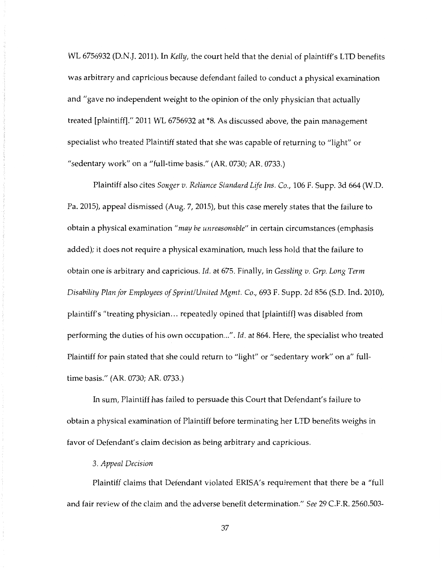WL 6756932 (D.N.J. 2011). In *Kelly,* the court held that the denial of plaintiff's LTD benefits was arbitrary and capricious because defendant failed to conduct a physical examination and "gave no independent weight to the opinion of the only physician that actually treated [plaintiff]." 2011 WL 6756932 at \*8. As discussed above, the pain management specialist who treated Plaintiff stated that she was capable of returning to "light" or "sedentary work" on a "full-time basis." (AR. 0730; AR. 0733.)

Plaintiff also cites *Songer v. Reliance Standard Life Ins.* Co., 106 F. Supp. 3d 664 (W.D. Pa. 2015), appeal dismissed (Aug. 7, 2015), but this case merely states that the failure to obtain a physical examination *"may be unreasonable"* in certain circumstances (emphasis added); it does not require a physical examination, much less hold that the failure to obtain one is arbitrary and capricious. *Id.* at 675. Finally, in *Gessling* v. *Grp. Long Term Disability Plan for Employees of Sprint/United Mgmt.* Co., 693 F. Supp. 2d 856 (S.D. Ind. 2010), plaintiff's "treating physician ... repeatedly opined that [plaintiff] was disabled from performing the duties of his own occupation ... ". *Id.* at 864. Here, the specialist who treated Plaintiff for pain stated that she could return to "light" or "sedentary work" on a" fulltime basis." (AR. 0730; AR. 0733.)

In sum, Plaintiff has failed to persuade this Court that Defendant's failure to obtain a physical examination of Plaintiff before terminating her LTD benefits weighs in favor of Defendant's claim decision as being arbitrary and capricious.

## 3. *Appeal Decision*

Plaintiff claims that Defendant violated ERISA's requirement that there be a "full and fair review of the claim and the adverse benefit determination." *See* 29 C.F.R. 2560.503-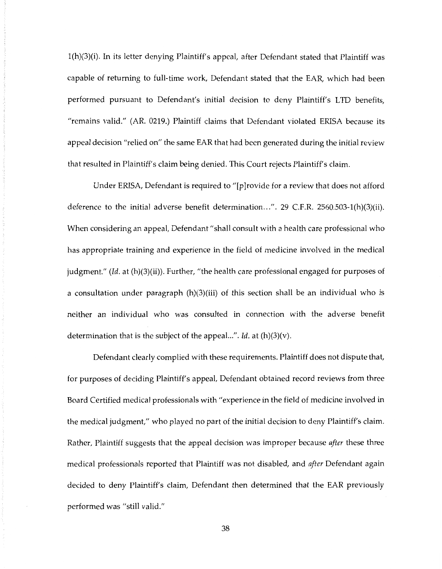l(h)(3)(i). In its letter denying Plaintiff's appeal, after Defendant stated that Plaintiff was capable of returning to full-time work, Defendant stated that the EAR, which had been performed pursuant to Defendant's initial decision to deny Plaintiff's LTD benefits, "remains valid." (AR. 0219.) Plaintiff claims that Defendant violated ERISA because its appeal decision "relied on" the same EAR that had been generated during the initial review that resulted in Plaintiff's claim being denied. This Court rejects Plaintiff's claim.

Under ERISA, Defendant is required to "[p]rovide for a review that does not afford deference to the initial adverse benefit determination...". 29 C.F.R. 2560.503-1(h)(3)(ii). When considering an appeal, Defendant "shall consult with a health care professional who has appropriate training and experience in the field of medicine involved in the medical judgment." *(Id.* at (h)(3)(ii)). Further, "the health care professional engaged for purposes of a consultation under paragraph (h)(3)(iii) of this section shall be an individual who is neither an individual who was consulted in connection with the adverse benefit determination that is the subject of the appeal...". *Id.* at (h)(3)(v).

Defendant clearly complied with these requirements. Plaintiff does not dispute that, for purposes of deciding Plaintiff's appeal, Defendant obtained record reviews from three Board Certified medical professionals with "experience in the field of medicine involved in the medical judgment," who played no part of the initial decision to deny Plaintiff's claim. Rather, Plaintiff suggests that the appeal decision was improper because *after* these three medical professionals reported that Plaintiff was not disabled, and *after* Defendant again decided to deny Plaintiff's claim, Defendant then determined that the EAR previously performed was "still valid."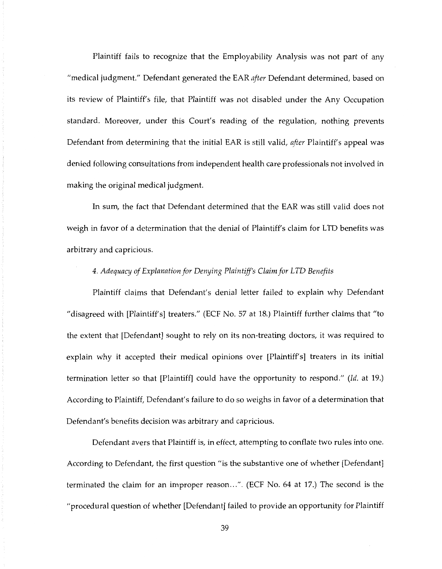Plaintiff fails to recognize that the Employability Analysis was not part of any "medical judgment." Defendant generated the EAR *after* Defendant determined, based on its review of Plaintiff's file, that Plaintiff was not disabled under the Any Occupation standard. Moreover, under this Court's reading of the regulation, nothing prevents Defendant from determining that the initial EAR is still valid, *after* Plaintiff's appeal was denied following consultations from independent health care professionals not involved in making the original medical judgment.

In sum, the fact that Defendant determined that the EAR was still valid does not weigh in favor of a determination that the denial of Plaintiff's claim for LTD benefits was arbitrary and capricious.

# *4. Adequacy of Explanation for Denying Plaintiff's Claim for LTD Benefits*

Plaintiff claims that Defendant's denial letter failed to explain why Defendant "disagreed with [Plaintiff's] treaters." (ECF No. 57 at 18.) Plaintiff further claims that "to the extent that [Defendant] sought to rely on its non-treating doctors, it was required to explain why it accepted their medical opinions over [Plaintiff's] treaters in its initial termination letter so that [Plaintiff] could have the opportunity to respond." *(Id.* at 19.) According to Plaintiff, Defendant's failure to do so weighs in favor of a determination that Defendant's benefits decision was arbitrary and capricious.

Defendant avers that Plaintiff is, in effect, attempting to conflate two rules into one. According to Defendant, the first question "is the substantive one of whether [Defendant] terminated the claim for an improper reason ... ". (ECF No. 64 at 17.) The second is the "procedural question of whether [Defendant] failed to provide an opportunity for Plaintiff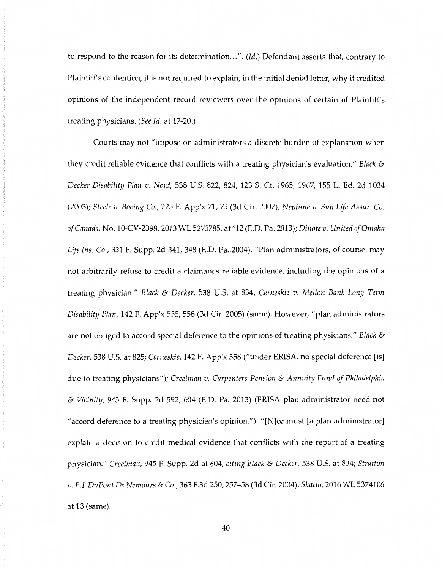to respond to the reason for its determination ... ". *(Id.)* Defendant asserts that, contrary to Plaintiff's contention, it is not required to explain, in the initial denial letter, why it credited opinions of the independent record reviewers over the opinions of certain of Plaintiff's treating physicians. *(See Id.* at 17-20.)

Courts may not "impose on administrators a discrete burden of explanation when they credit reliable evidence that conflicts with a treating physician's evaluation." *Black* & *Decker Disability Plan v. Nord,* 538 U.S. 822, 824, 123 S. Ct. 1965, 1967, 155 L. Ed. 2d 1034 (2003); *Steele v. Boeing Co.,* 225 F. App'x 71, 75 (3d Cir. 2007); *Neptune v. Sun Life Assur. Co. of Canada,* No. 10-CV-2398, 2013 WL 5273785, at \*12 (E.D. Pa. 2013); *Dinote v. United of Omaha Life Ins. Co.,* 331 F. Supp. 2d 341, 348 (E.D. Pa. 2004). "Plan administrators, of course, may not arbitrarily refuse to credit a claimant's reliable evidence, including the opinions of a treating physician." *Black* & *Decker,* 538 U.S. at 834; *Cerneskie v. Mellon Bank Long Term Disability Plan,* 142 F. App'x 555, 558 (3d Cir. 2005) (same). However, "plan administrators are not obliged to accord special deference to the opinions of treating physicians." *Black* & *Decker,* 538 U.S. at 825; *Cerneskie,* 142 F. App'x 558 ("under ERISA, no special deference [is] due to treating physicians"); *Cree/man v. Carpenters Pension* & *Annuity Fund of Philadelphia*  & *Vicinity,* 945 F. Supp. 2d 592, 604 (E.D. Pa. 2013) (ERISA plan administrator need not "accord deference to a treating physician's opinion."). "[N]or must [a plan administrator] explain a decision to credit medical evidence that conflicts with the report of a treating physician." *Creelman,* 945 F. Supp. 2d at 604, *citing Black* & *Decker,* 538 U.S. at 834; *Stratton v. E.I. DuPont De Nemours* & *Co.,* 363 F.3d 250, 257-58 (3d Cir. 2004); *Shatto,* 2016 WL 5374106 at 13 (same).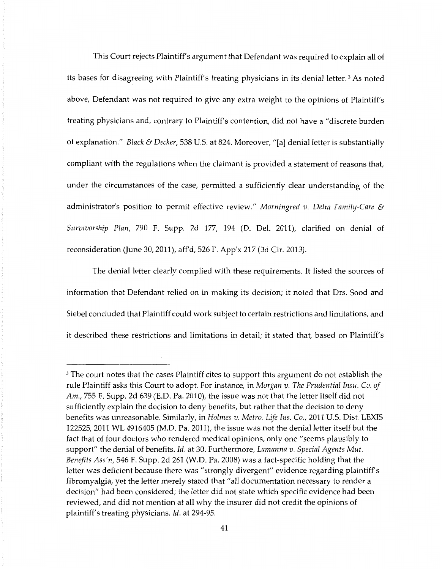This Court rejects Plaintiff's argument that Defendant was required to explain all of its bases for disagreeing with Plaintiff's treating physicians in its denial letter.<sup>3</sup> As noted above, Defendant was not required to give any extra weight to the opinions of Plaintiff's treating physicians and, contrary to Plaintiff's contention, did not have a "discrete burden of explanation." *Black* & *Decker,* 538 U.S. at 824. Moreover, "[a] denial letter is substantially compliant with the regulations when the claimant is provided a statement of reasons that, under the circumstances of the case, permitted a sufficiently clear understanding of the administrator's position to permit effective review." *Morningred v. Delta Family-Care* & *Survivorship Plan,* 790 F. Supp. 2d 177, 194 (D. Del. 2011), clarified on denial of reconsideration (June 30, 2011), aff'd, 526 F. App'x 217 (3d Cir. 2013).

The denial letter clearly complied with these requirements. It listed the sources of information that Defendant relied on in making its decision; it noted that Drs. Sood and Siebel concluded that Plaintiff could work subject to certain restrictions and limitations, and it described these restrictions and limitations in detail; it stated that, based on Plaintiff's

<sup>&</sup>lt;sup>3</sup> The court notes that the cases Plaintiff cites to support this argument do not establish the rule Plaintiff asks this Court to adopt. For instance, in *Morgan v. The Prudential Insu. Co. of Am.,* 755 F. Supp. 2d 639 (E.D. Pa. 2010), the issue was not that the letter itself did not sufficiently explain the decision to deny benefits, but rather that the decision to deny benefits was unreasonable. Similarly, in *Holmes v. Metro. Life Ins.* Co., 2011 U.S. Dist. LEXIS 122525, 2011WL4916405 (M.D. Pa. 2011), the issue was not the denial letter itself but the fact that of four doctors who rendered medical opinions, only one "seems plausibly to support" the denial of benefits. *Id.* at 30. Furthermore, *Lamanna v. Special Agents Mut. Benefits Ass'n,* 546 F. Supp. 2d 261 (W.D. Pa. 2008) was a fact-specific holding that the letter was deficient because there was "strongly divergent" evidence regarding plaintiff's fibromyalgia, yet the letter merely stated that "all documentation necessary to render a decision" had been considered; the letter did not state which specific evidence had been reviewed, and did not mention at all why the insurer did not credit the opinions of plaintiff's treating physicians. *Id.* at 294-95.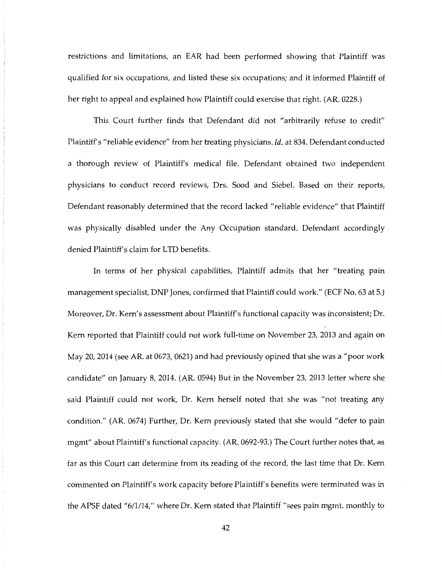restrictions and limitations, an EAR had been performed showing that Plaintiff was qualified for six occupations, and listed these six occupations; and it informed Plaintiff of her right to appeal and explained how Plaintiff could exercise that right. (AR. 0228.)

This Court further finds that Defendant did not "arbitrarily refuse to credit" Plaintiff's "reliable evidence" from her treating physicians. *Id.* at 834. Defendant conducted a thorough review of Plaintiff's medical file. Defendant obtained two independent physicians to conduct record reviews, Drs. Sood and Siebel. Based on their reports, Defendant reasonably determined that the record lacked "reliable evidence" that Plaintiff was physically disabled under the Any Occupation standard. Defendant accordingly denied Plaintiff's claim for LTD benefits.

In terms of her physical capabilities, Plaintiff admits that her "treating pain management specialist, DNP Jones, confirmed that Plaintiff could work." (ECF No. 63 at 5.) Moreover, Dr. Kern's assessment about Plaintiff's functional capacity was inconsistent; Dr. Kem reported that Plaintiff could not work full-time on November 23, 2013 and again on May 20, 2014 (see AR. at 0673, 0621) and had previously opined that she was a "poor work candidate" on January 8, 2014. (AR. 0594) But in the November 23, 2013 letter where she said Plaintiff could not work, Dr. Kem herself noted that she was "not treating any condition." (AR. 0674) Further, Dr. Kem previously stated that she would "defer to pain mgmt" about Plaintiff's functional capacity. (AR. 0692-93.) The Court further notes that, as far as this Court can determine from its reading of the record, the last time that Dr. Kem commented on Plaintiff's work capacity before Plaintiff's benefits were terminated was in the APSF dated "6/1/14," where Dr. Kem stated that Plaintiff "sees pain mgmt. monthly to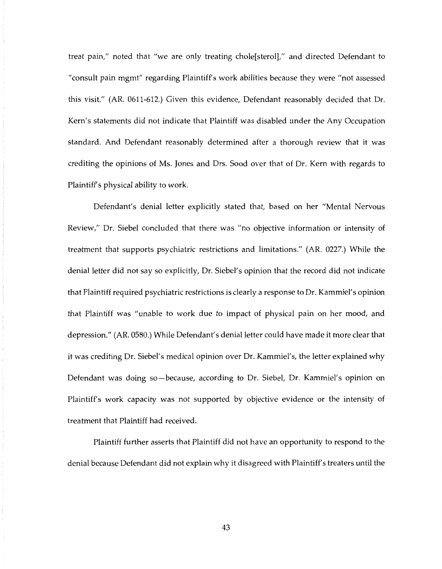treat pain," noted that "we are only treating chole[sterol]," and directed Defendant to "consult pain mgmt" regarding Plaintiff's work abilities because they were "not assessed this visit." (AR. 0611-612.) Given this evidence, Defendant reasonably decided that Dr. Kern's statements did not indicate that Plaintiff was disabled under the Any Occupation standard. And Defendant reasonably determined after a thorough review that it was crediting the opinions of Ms. Jones and Drs. Sood over that of Dr. Kem with regards to Plaintiff's physical ability to work.

Defendant's denial letter explicitly stated that, based on her "Mental Nervous Review," Dr. Siebel concluded that there was "no objective information or intensity of treatment that supports psychiatric restrictions and limitations." (AR. 0227.) While the denial letter did not say so explicitly, Dr. Siebel's opinion that the record did not indicate that Plaintiff required psychiatric restrictions is clearly a response to Dr. Kammiel's opinion that Plaintiff was "unable to work due to impact of physical pain on her mood, and depression." (AR. 0580.) While Defendant's denial letter could have made it more clear that it was crediting Dr. Siebel's medical opinion over Dr. Kammiel's, the letter explained why Defendant was doing so-because, according to Dr. Siebel, Dr. Kammiel's opinion on Plaintiff's work capacity was not supported by objective evidence or the intensity of treatment that Plaintiff had received.

Plaintiff further asserts that Plaintiff did not have an opportunity to respond to the denial because Defendant did not explain why it disagreed with Plaintiff's treaters until the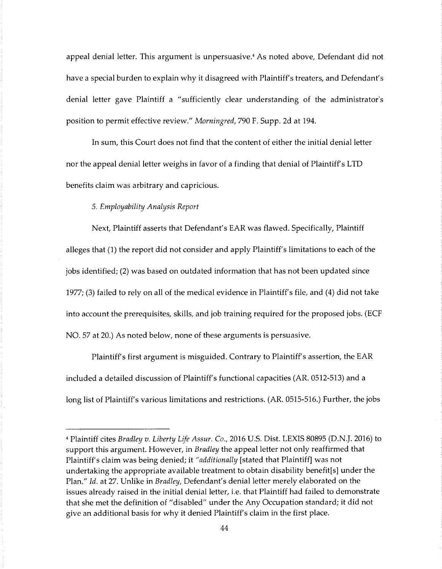appeal denial letter. This argument is unpersuasive.4 As noted above, Defendant did not have a special burden to explain why it disagreed with Plaintiff's treaters, and Defendant's denial letter gave Plaintiff a "sufficiently clear understanding of the administrator's position to permit effective review." *Morningred,* 790 F. Supp. 2d at 194.

In sum, this Court does not find that the content of either the initial denial letter nor the appeal denial letter weighs in favor of a finding that denial of Plaintiff's LTD benefits claim was arbitrary and capricious.

## 5. *Employability Analysis Report*

Next, Plaintiff asserts that Defendant's EAR was flawed. Specifically, Plaintiff alleges that (1) the report did not consider and apply Plaintiff's limitations to each of the jobs identified; (2) was based on outdated information that has not been updated since 1977; (3) failed to rely on all of the medical evidence in Plaintiff's file, and (4) did not take into account the prerequisites, skills, and job training required for the proposed jobs. (ECF NO. 57 at 20.) As noted below, none of these arguments is persuasive.

Plaintiff's first argument is misguided. Contrary to Plaintiff's assertion, the EAR included a detailed discussion of Plaintiff's functional capacities (AR. 0512-513) and a long list of Plaintiff's various limitations and restrictions. (AR. 0515-516.) Further, the jobs

<sup>4</sup> Plaintiff cites *Bradley v. Liberty Life Assur.* Co., 2016 U.S. Dist. LEXIS 80895 (D.N.J. 2016) to support this argument. However, in *Bradley* the appeal letter not only reaffirmed that Plaintiff's claim was being denied; it *"additionally* [stated that Plaintiff] was not undertaking the appropriate available treatment to obtain disability benefit[s] under the Plan." *Id.* at 27. Unlike in *Bradley,* Defendant's denial letter merely elaborated on the issues already raised in the initial denial letter, i.e. that Plaintiff had failed to demonstrate that she met the definition of "disabled" under the Any Occupation standard; it did not give an additional basis for why it denied Plaintiff's claim in the first place.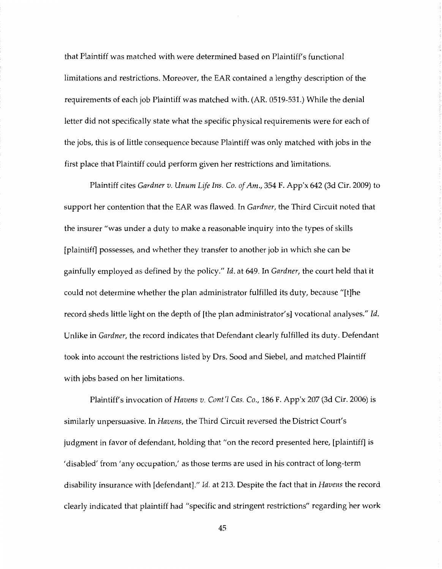that Plaintiff was matched with were determined based on Plaintiff's functional limitations and restrictions. Moreover, the EAR contained a lengthy description of the requirements of each job Plaintiff was matched with. (AR. 0519-531.) While the denial letter did not specifically state what the specific physical requirements were for each of the jobs, this is of little consequence because Plaintiff was only matched with jobs in the first place that Plaintiff could perform given her restrictions and limitations.

Plaintiff cites *Gardner v. Unum Life Ins. Co. of Am.,* 354 F. App'x 642 (3d Cir. 2009) to support her contention that the EAR was flawed. In *Gardner,* the Third Circuit noted that the insurer "was under a duty to make a reasonable inquiry into the types of skills [plaintiff] possesses, and whether they transfer to another job in which she can be gainfully employed as defined by the policy." *Id.* at 649. In *Gardner,* the court held that it could not determine whether the plan administrator fulfilled its duty, because "[t]he record sheds little light on the depth of [the plan administrator's] vocational analyses." *Id.*  Unlike in *Gardner,* the record indicates that Defendant clearly fulfilled its duty. Defendant took into account the restrictions listed by Drs. Sood and Siebel, and matched Plaintiff with jobs based on her limitations.

Plaintiff's invocation of *Havens v. Cont'l Cas.* Co., 186 F. App'x 207 (3d Cir. 2006) is similarly unpersuasive. In *Havens,* the Third Circuit reversed the District Court's judgment in favor of defendant, holding that "on the record presented here, [plaintiff] is 'disabled' from 'any occupation,' as those terms are used in his contract of long-term disability insurance with [defendant]." *Id.* at 213. Despite the fact that in *Havens* the record clearly indicated that plaintiff had "specific and stringent restrictions" regarding her work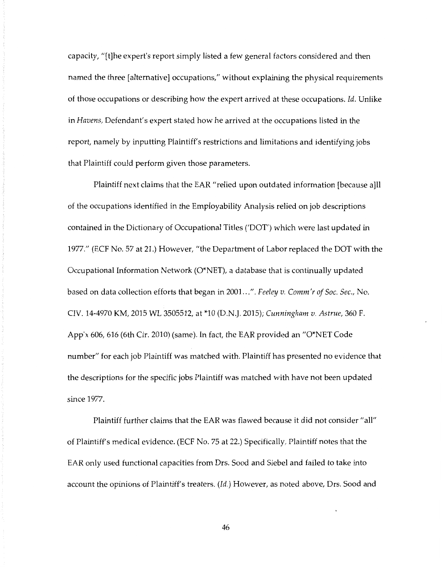capacity, "[t]he expert's report simply listed a few general factors considered and then named the three [alternative] occupations," without explaining the physical requirements of those occupations or describing how the expert arrived at these occupations. *Id.* Unlike in *Havens,* Defendant's expert stated how he arrived at the occupations listed in the report, namely by inputting Plaintiff's restrictions and limitations and identifying jobs that Plaintiff could perform given those parameters.

Plaintiff next claims that the EAR "relied upon outdated information [because a]ll of the occupations identified in the Employability Analysis relied on job descriptions contained in the Dictionary of Occupational Titles ('DOT') which were last updated in 1977." (ECF No. 57 at 21.) However, "the Department of Labor replaced the DOT with the Occupational Information Network (O\*NET), a database that is continually updated based on data collection efforts that began in 2001 ... ". *Feeley v. Comm'r of* Soc. *Sec.,* No. CIV. 14-4970 KM, 2015 WL 3505512, at \*10 (D.N.J. 2015); *Cunningham v. Astrue,* 360 F. App'x 606, 616 (6th Cir. 2010) (same). In fact, the EAR provided an "O\*NET Code number" for each job Plaintiff was matched with. Plaintiff has presented no evidence that the descriptions for the specific jobs Plaintiff was matched with have not been updated since 1977.

Plaintiff further claims that the EAR was flawed because it did not consider "all" of Plaintiff's medical evidence. (ECF No. 75 at 22.) Specifically, Plaintiff notes that the EAR only used functional capacities from Drs. Sood and Siebel and failed to take into account the opinions of Plaintiff's treaters. *(Id.)* However, as noted above, Drs. Sood and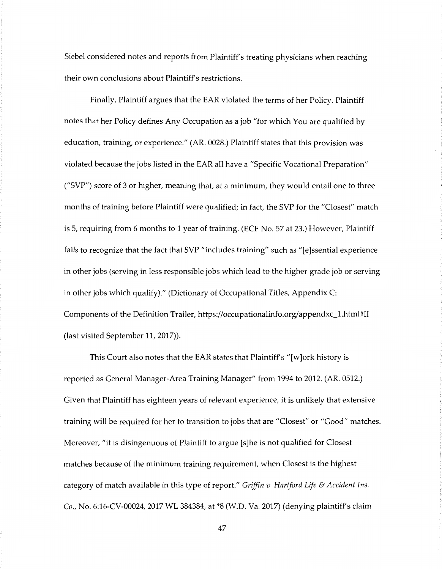Siebel considered notes and reports from Plaintiff's treating physicians when reaching their own conclusions about Plaintiff's restrictions.

Finally, Plaintiff argues that the EAR violated the terms of her Policy. Plaintiff notes that her Policy defines Any Occupation as a job "for which You are qualified by education, training, or experience." (AR. 0028.) Plaintiff states that this provision was violated because the jobs listed in the EAR all have a "Specific Vocational Preparation" ("SVP") score of 3 or higher, meaning that, at a minimum, they would entail one to three months of training before Plaintiff were qualified; in fact, the SVP for the "Closest" match is 5, requiring from 6 months to 1 year of training. (ECF No. 57 at 23.) However, Plaintiff fails to recognize that the fact that SVP "includes training" such as "[e]ssential experience in other jobs (serving in less responsible jobs which lead to the higher grade job or serving in other jobs which qualify)." (Dictionary of Occupational Titles, Appendix C: Components of the Definition Trailer, https://occupationalinfo.org/appendxc\_l.htrnl#II (last visited September 11, 2017)).

This Court also notes that the EAR states that Plaintiff's "[ w ]ork history is reported as General Manager-Area Training Manager" from 1994 to 2012. (AR. 0512.) Given that Plaintiff has eighteen years of relevant experience, it is unlikely that extensive training will be required for her to transition to jobs that are "Closest" or "Good" matches. Moreover, "it is disingenuous of Plaintiff to argue [s]he is not qualified for Closest matches because of the minimum training requirement, when Closest is the highest category of match available in this type of report." *Griffin v. Hartford Life* & *Accident Ins.*  Co., No. 6:16-CV-00024, 2017 WL 384384, at \*8 (W.D. Va. 2017) (denying plaintiff's claim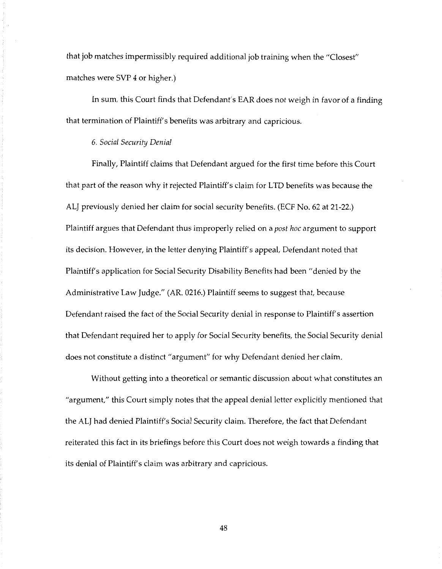that job matches impermissibly required additional job training when the "Closest" matches were SVP 4 or higher.)

In sum, this Court finds that Defendant's EAR does not weigh in favor of a finding that termination of Plaintiff's benefits was arbitrary and capricious.

## 6. *Social Security Denial*

Finally, Plaintiff claims that Defendant argued for the first time before this Court that part of the reason why it rejected Plaintiff's claim for LTD benefits was because the ALJ previously denied her claim for social security benefits. (ECF No. 62 at 21-22.) Plaintiff argues that Defendant thus improperly relied on a *post hoc* argument to support its decision. However, in the letter denying Plaintiff's appeal, Defendant noted that Plaintiff's application for Social Security Disability Benefits had been "denied by the Administrative Law Judge." (AR. 0216.) Plaintiff seems to suggest that, because Defendant raised the fact of the Social Security denial in response to Plaintiff's assertion that Defendant required her to apply for Social Security benefits, the Social Security denial does not constitute a distinct "argument" for why Defendant denied her claim.

Without getting into a theoretical or semantic discussion about what constitutes an "argument," this Court simply notes that the appeal denial letter explicitly mentioned that the ALJ had denied Plaintiff's Social Security claim. Therefore, the fact that Defendant reiterated this fact in its briefings before this Court does not weigh towards a finding that its denial of Plaintiff's claim was arbitrary and capricious.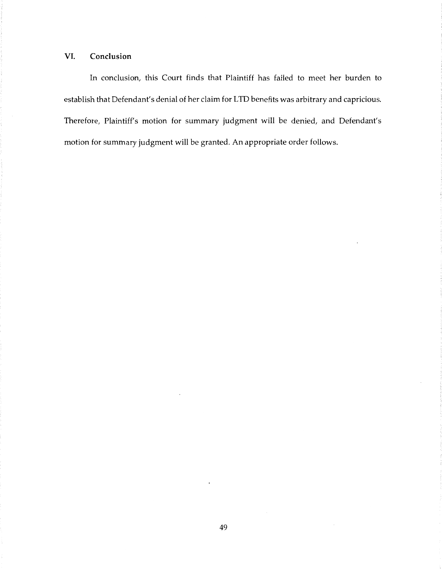# **VI. Conclusion**

In conclusion, this Court finds that Plaintiff has failed to meet her burden to establish that Defendant's denial of her claim for LTD benefits was arbitrary and capricious. Therefore, Plaintiff's motion for summary judgment will be denied, and Defendant's motion for summary judgment will be granted. An appropriate order follows.